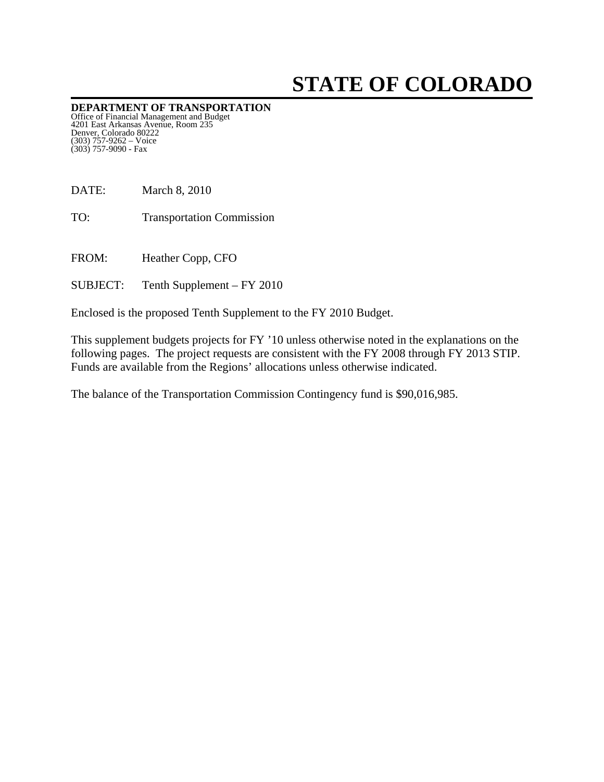# **STATE OF COLORADO**

**DEPARTMENT OF TRANSPORTATION**  Office of Financial Management and Budget 4201 East Arkansas Avenue, Room 235 Denver, Colorado 80222 (303) 757-9262 – Voice (303) 757-9090 - Fax

DATE: March 8, 2010

TO: Transportation Commission

FROM: Heather Copp, CFO

SUBJECT: Tenth Supplement – FY 2010

Enclosed is the proposed Tenth Supplement to the FY 2010 Budget.

This supplement budgets projects for FY '10 unless otherwise noted in the explanations on the following pages. The project requests are consistent with the FY 2008 through FY 2013 STIP. Funds are available from the Regions' allocations unless otherwise indicated.

The balance of the Transportation Commission Contingency fund is \$90,016,985.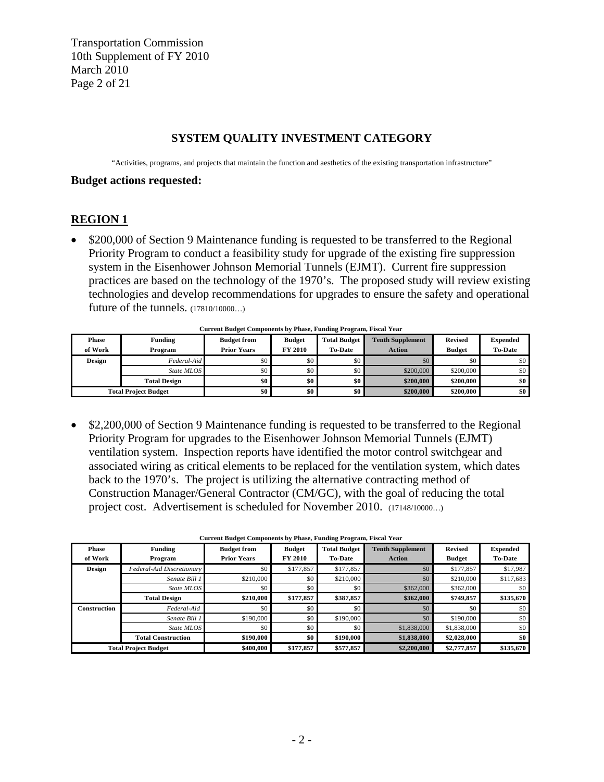Transportation Commission 10th Supplement of FY 2010 March 2010 Page 2 of 21

#### **SYSTEM QUALITY INVESTMENT CATEGORY**

"Activities, programs, and projects that maintain the function and aesthetics of the existing transportation infrastructure"

#### **Budget actions requested:**

#### **REGION 1**

• \$200,000 of Section 9 Maintenance funding is requested to be transferred to the Regional Priority Program to conduct a feasibility study for upgrade of the existing fire suppression system in the Eisenhower Johnson Memorial Tunnels (EJMT). Current fire suppression practices are based on the technology of the 1970's. The proposed study will review existing technologies and develop recommendations for upgrades to ensure the safety and operational future of the tunnels. (17810/10000…)

|                             | Carrent Dauget Components by Thuse, I unuing Trogram, Tisear Tear |                    |                |                     |                         |                |                 |  |  |  |  |
|-----------------------------|-------------------------------------------------------------------|--------------------|----------------|---------------------|-------------------------|----------------|-----------------|--|--|--|--|
| Phase                       | Funding                                                           | <b>Budget from</b> | <b>Budget</b>  | <b>Total Budget</b> | <b>Tenth Supplement</b> | <b>Revised</b> | <b>Expended</b> |  |  |  |  |
| of Work                     | Program                                                           | <b>Prior Years</b> | <b>FY 2010</b> | <b>To-Date</b>      | <b>Action</b>           | <b>Budget</b>  | <b>To-Date</b>  |  |  |  |  |
| Design                      | Federal-Aid                                                       | \$0                | \$0            | \$0                 | \$0\$                   |                | \$0             |  |  |  |  |
|                             | State MLOS                                                        | \$0                | \$0            | \$0                 | \$200,000               | \$200,000      | \$0             |  |  |  |  |
|                             | <b>Total Design</b>                                               | \$0                | \$0            | \$0                 | \$200,000               | \$200,000      | \$0             |  |  |  |  |
| <b>Total Project Budget</b> |                                                                   | \$0                | \$0            | \$0                 | \$200,000               | \$200,000      | \$0             |  |  |  |  |

**Current Budget Components by Phase, Funding Program, Fiscal Year**

• \$2,200,000 of Section 9 Maintenance funding is requested to be transferred to the Regional Priority Program for upgrades to the Eisenhower Johnson Memorial Tunnels (EJMT) ventilation system. Inspection reports have identified the motor control switchgear and associated wiring as critical elements to be replaced for the ventilation system, which dates back to the 1970's. The project is utilizing the alternative contracting method of Construction Manager/General Contractor (CM/GC), with the goal of reducing the total project cost. Advertisement is scheduled for November 2010. (17148/10000…)

|              |                             | Current Budget Components by I hase, Funding I rogram, Fiscar Tear |                |                     |                         |                |                 |
|--------------|-----------------------------|--------------------------------------------------------------------|----------------|---------------------|-------------------------|----------------|-----------------|
| <b>Phase</b> | <b>Funding</b>              | <b>Budget from</b>                                                 | <b>Budget</b>  | <b>Total Budget</b> | <b>Tenth Supplement</b> | <b>Revised</b> | <b>Expended</b> |
| of Work      | Program                     | <b>Prior Years</b>                                                 | <b>FY 2010</b> | <b>To-Date</b>      | <b>Action</b>           | <b>Budget</b>  | <b>To-Date</b>  |
| Design       | Federal-Aid Discretionary   | \$0                                                                | \$177,857      | \$177,857           | \$0                     | \$177,857      | \$17,987        |
|              | Senate Bill 1               | \$210,000                                                          | \$0            | \$210,000           | \$0                     | \$210,000      | \$117,683       |
|              | State MLOS                  | \$0                                                                | \$0            | \$0                 | \$362,000               | \$362,000      | \$0             |
|              | <b>Total Design</b>         | \$210,000                                                          | \$177,857      | \$387,857           | \$362,000               | \$749,857      | \$135,670       |
| Construction | Federal-Aid                 | \$0                                                                | \$0            | \$0                 | \$0                     | \$0            | \$0             |
|              | Senate Bill 1               | \$190,000                                                          | \$0            | \$190,000           | \$0                     | \$190,000      | \$0             |
|              | State MLOS                  | \$0                                                                | \$0            | \$0                 | \$1,838,000             | \$1,838,000    | \$0             |
|              | <b>Total Construction</b>   | \$190,000                                                          | \$0            | \$190,000           | \$1,838,000             | \$2,028,000    | \$0             |
|              | <b>Total Project Budget</b> | \$400,000                                                          | \$177,857      | \$577,857           | \$2,200,000             | \$2,777,857    | \$135,670       |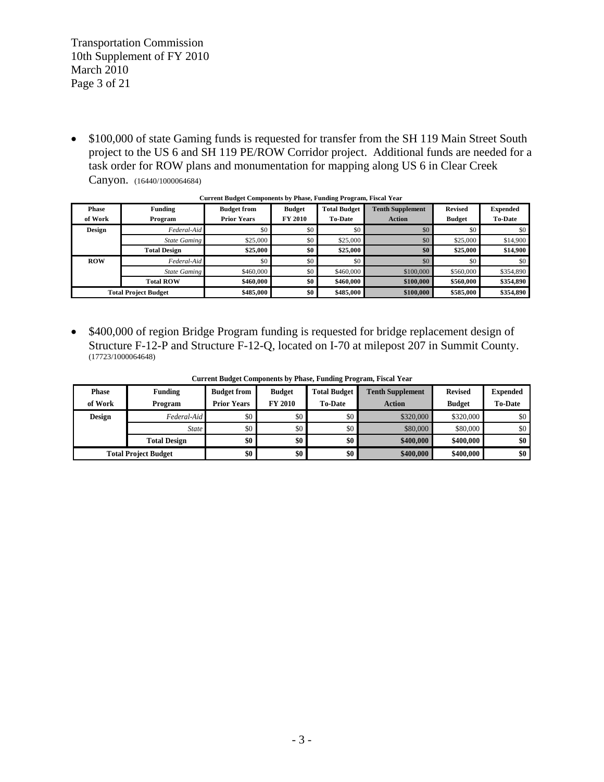Transportation Commission 10th Supplement of FY 2010 March 2010 Page 3 of 21

• \$100,000 of state Gaming funds is requested for transfer from the SH 119 Main Street South project to the US 6 and SH 119 PE/ROW Corridor project. Additional funds are needed for a task order for ROW plans and monumentation for mapping along US 6 in Clear Creek Canyon. (16440/1000064684)

| <b>Phase</b><br>of Work | Funding<br>Program          | <b>Budget from</b><br><b>Prior Years</b> | <b>Budget</b><br><b>FY 2010</b> | <b>Total Budget</b><br><b>To-Date</b> | <b>Tenth Supplement</b><br><b>Action</b> | <b>Revised</b><br><b>Budget</b> | <b>Expended</b><br><b>To-Date</b> |
|-------------------------|-----------------------------|------------------------------------------|---------------------------------|---------------------------------------|------------------------------------------|---------------------------------|-----------------------------------|
| <b>Design</b>           | Federal-Aid                 | \$0                                      | \$0                             | \$0                                   | \$0                                      | \$0                             | \$0                               |
|                         | <b>State Gaming</b>         | \$25,000                                 | \$0                             | \$25,000                              | \$0                                      | \$25,000                        | \$14,900                          |
|                         | <b>Total Design</b>         | \$25,000                                 | \$0                             | \$25,000                              | \$0                                      | \$25,000                        | \$14,900                          |
| <b>ROW</b>              | Federal-Aid                 | \$0                                      | \$0                             | \$0                                   | \$0                                      | \$0                             | \$0                               |
|                         | <b>State Gaming</b>         | \$460,000                                | \$0                             | \$460,000                             | \$100,000                                | \$560,000                       | \$354,890                         |
|                         | <b>Total ROW</b>            | \$460,000                                | \$0                             | \$460,000                             | \$100,000                                | \$560,000                       | \$354,890                         |
|                         | <b>Total Project Budget</b> |                                          | \$0                             | \$485,000                             | \$100,000                                | \$585,000                       | \$354,890                         |

#### **Current Budget Components by Phase, Funding Program, Fiscal Year**

• \$400,000 of region Bridge Program funding is requested for bridge replacement design of Structure F-12-P and Structure F-12-Q, located on I-70 at milepost 207 in Summit County. (17723/1000064648)

| <b>Phase</b>                | <b>Funding</b>      | <b>Budget from</b> | <b>Budget</b>  | <b>Total Budget</b> | <b>Tenth Supplement</b> | <b>Revised</b> | <b>Expended</b> |
|-----------------------------|---------------------|--------------------|----------------|---------------------|-------------------------|----------------|-----------------|
| of Work                     | Program             | <b>Prior Years</b> | <b>FY 2010</b> | <b>To-Date</b>      | Action                  | <b>Budget</b>  | <b>To-Date</b>  |
| Design                      | Federal-Aid         | \$0                | \$0            | \$0                 | \$320,000               | \$320,000      | \$0             |
|                             | <b>State</b>        | \$0                | \$0            | \$0                 | \$80,000                | \$80,000       | \$0             |
|                             | <b>Total Design</b> | \$0                | \$0            | \$0                 | \$400,000               | \$400,000      | \$0             |
| <b>Total Project Budget</b> |                     | \$0                | \$0            | \$0                 | \$400,000               | \$400,000      | \$0             |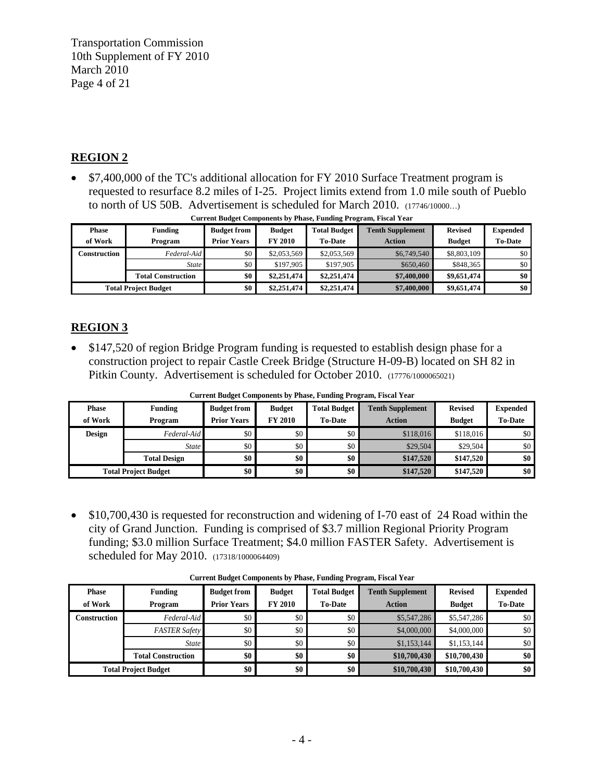Transportation Commission 10th Supplement of FY 2010 March 2010 Page 4 of 21

### **REGION 2**

• \$7,400,000 of the TC's additional allocation for FY 2010 Surface Treatment program is requested to resurface 8.2 miles of I-25. Project limits extend from 1.0 mile south of Pueblo to north of US 50B. Advertisement is scheduled for March 2010. (17746/10000…)

| <b>Phase</b>                | <b>Funding</b>            | <b>Budget from</b> | <b>Budget</b>  | <b>Total Budget</b> | <b>Tenth Supplement</b> | <b>Revised</b> | <b>Expended</b> |
|-----------------------------|---------------------------|--------------------|----------------|---------------------|-------------------------|----------------|-----------------|
| of Work                     | Program                   | <b>Prior Years</b> | <b>FY 2010</b> | <b>To-Date</b>      | <b>Action</b>           | <b>Budget</b>  | <b>To-Date</b>  |
| Construction                | Federal-Aid               | \$0                | \$2,053,569    | \$2,053,569         | \$6,749,540             | \$8,803,109    | \$0             |
|                             | <b>State</b>              | \$0                | \$197,905      | \$197,905           | \$650,460               | \$848,365      | \$0             |
|                             | <b>Total Construction</b> | \$0                | \$2,251,474    | \$2,251,474         | \$7,400,000             | \$9,651,474    | \$0             |
| <b>Total Project Budget</b> |                           | \$0                | \$2,251,474    | \$2,251,474         | \$7,400,000             | \$9,651,474    | \$0             |

| <b>Current Budget Components by Phase, Funding Program, Fiscal Year</b> |  |  |
|-------------------------------------------------------------------------|--|--|
|                                                                         |  |  |

### **REGION 3**

• \$147,520 of region Bridge Program funding is requested to establish design phase for a construction project to repair Castle Creek Bridge (Structure H-09-B) located on SH 82 in Pitkin County. Advertisement is scheduled for October 2010. (17776/1000065021)

|               | Current Duuget Components by 1 mase, 1 unuing 1 rogram, 1 isear 1 car |                    |                  |                     |                         |                |                 |  |  |  |
|---------------|-----------------------------------------------------------------------|--------------------|------------------|---------------------|-------------------------|----------------|-----------------|--|--|--|
| <b>Phase</b>  | <b>Funding</b>                                                        | <b>Budget from</b> | <b>Budget</b>    | <b>Total Budget</b> | <b>Tenth Supplement</b> | <b>Revised</b> | <b>Expended</b> |  |  |  |
| of Work       | Program                                                               | <b>Prior Years</b> | <b>FY 2010</b>   | <b>To-Date</b>      | <b>Action</b>           | <b>Budget</b>  | <b>To-Date</b>  |  |  |  |
| <b>Design</b> | Federal-Aid                                                           | \$0                | \$0              | \$0                 | \$118,016               | \$118,016      | \$0             |  |  |  |
|               | <i>State</i>                                                          | \$0                | \$0              | \$0                 | \$29,504                | \$29,504       | \$0             |  |  |  |
|               | <b>Total Design</b>                                                   | \$0                | \$0 <sub>1</sub> | \$0                 | \$147,520               | \$147,520      | \$0             |  |  |  |
|               | <b>Total Project Budget</b>                                           | \$0                | \$0              | \$0                 | \$147,520               | \$147,520      | \$0             |  |  |  |

**Current Budget Components by Phase, Funding Program, Fiscal Year**

• \$10,700,430 is requested for reconstruction and widening of I-70 east of 24 Road within the city of Grand Junction. Funding is comprised of \$3.7 million Regional Priority Program funding; \$3.0 million Surface Treatment; \$4.0 million FASTER Safety. Advertisement is scheduled for May 2010. (17318/1000064409)

| <b>Phase</b>                | <b>Funding</b>            | <b>Budget from</b> | <b>Budget</b>  | <b>Total Budget</b> | <b>Tenth Supplement</b> | <b>Revised</b> | <b>Expended</b> |
|-----------------------------|---------------------------|--------------------|----------------|---------------------|-------------------------|----------------|-----------------|
| of Work                     | Program                   | <b>Prior Years</b> | <b>FY 2010</b> | <b>To-Date</b>      | <b>Action</b>           | <b>Budget</b>  | <b>To-Date</b>  |
| Construction                | Federal-Aid               | \$0                | \$0            | \$0                 | \$5,547,286             | \$5,547,286    | \$0             |
|                             | <b>FASTER Safety</b>      | \$0                | \$0            | \$0\$               | \$4,000,000             | \$4,000,000    | \$0             |
|                             | <b>State</b>              | \$0                | \$0            | \$0\$               | \$1,153,144             | \$1,153,144    | $\$0$           |
|                             | <b>Total Construction</b> | \$0                | \$0            | \$0                 | \$10,700,430            | \$10,700,430   | \$0             |
| <b>Total Project Budget</b> |                           | \$0                | \$0            | \$0                 | \$10,700,430            | \$10,700,430   | \$0             |

**Current Budget Components by Phase, Funding Program, Fiscal Year**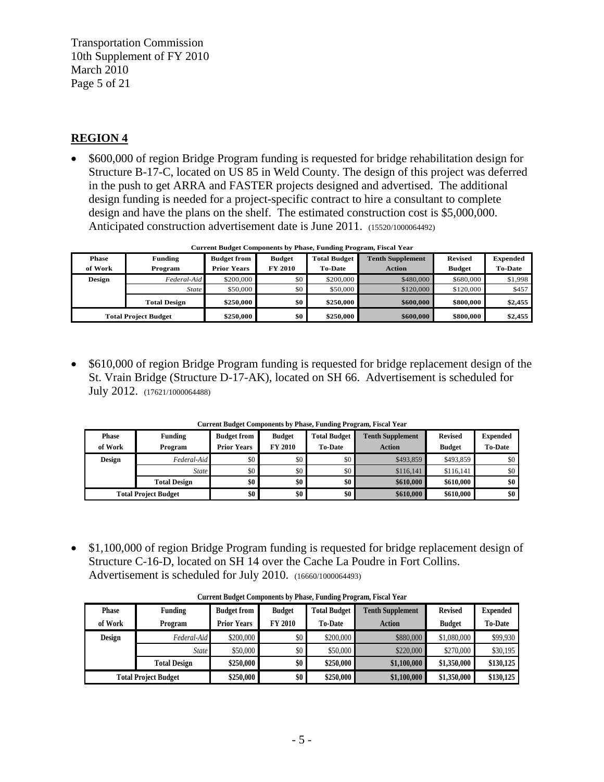Transportation Commission 10th Supplement of FY 2010 March 2010 Page 5 of 21

### **REGION 4**

• \$600,000 of region Bridge Program funding is requested for bridge rehabilitation design for Structure B-17-C, located on US 85 in Weld County. The design of this project was deferred in the push to get ARRA and FASTER projects designed and advertised. The additional design funding is needed for a project-specific contract to hire a consultant to complete design and have the plans on the shelf. The estimated construction cost is \$5,000,000. Anticipated construction advertisement date is June 2011. (15520/1000064492)

| <b>Phase</b>                | <b>Funding</b>      | <b>Budget from</b> | <b>Budget</b>    | <b>Total Budget</b> | <b>Tenth Supplement</b> | <b>Revised</b> | <b>Expended</b> |
|-----------------------------|---------------------|--------------------|------------------|---------------------|-------------------------|----------------|-----------------|
| of Work                     | Program             | <b>Prior Years</b> | <b>FY 2010</b>   | <b>To-Date</b>      | <b>Action</b>           | <b>Budget</b>  | <b>To-Date</b>  |
| Design                      | $Federal$ -Aid      | \$200,000          | \$0              | \$200,000           | \$480,000               | \$680,000      | \$1,998         |
|                             | <b>State</b>        | \$50,000           | \$0              | \$50,000            | \$120,000               | \$120,000      | \$457           |
|                             | <b>Total Design</b> | \$250,000          | \$0 <sub>1</sub> | \$250,000           | \$600,000               | \$800,000      | \$2,455         |
| <b>Total Project Budget</b> |                     | \$250,000          | \$0              | \$250,000           | \$600,000               | \$800,000      | \$2,455         |

**Current Budget Components by Phase, Funding Program, Fiscal Year**

• \$610,000 of region Bridge Program funding is requested for bridge replacement design of the St. Vrain Bridge (Structure D-17-AK), located on SH 66. Advertisement is scheduled for July 2012. (17621/1000064488)

| <b>Phase</b><br>of Work     | <b>Funding</b><br>Program | <b>Budget from</b><br><b>Prior Years</b> | <b>Budget</b><br><b>FY 2010</b> | <b>Total Budget</b><br><b>To-Date</b> | <b>Tenth Supplement</b><br><b>Action</b> | <b>Revised</b><br><b>Budget</b> | <b>Expended</b><br><b>To-Date</b> |
|-----------------------------|---------------------------|------------------------------------------|---------------------------------|---------------------------------------|------------------------------------------|---------------------------------|-----------------------------------|
| <b>Design</b>               | Federal-Aid               | \$0                                      | \$0                             | \$0                                   | \$493,859                                | \$493,859                       | \$0                               |
|                             | <b>State</b>              | \$0                                      | \$0                             | \$0                                   | \$116,141                                | \$116,141                       | \$0                               |
|                             | <b>Total Design</b>       | \$0                                      | \$0                             | \$0                                   | \$610,000                                | \$610,000                       | \$0                               |
| <b>Total Project Budget</b> |                           | \$0                                      | \$0                             | \$0                                   | \$610,000                                | \$610,000                       | \$0                               |

**Current Budget Components by Phase, Funding Program, Fiscal Year**

• \$1,100,000 of region Bridge Program funding is requested for bridge replacement design of Structure C-16-D, located on SH 14 over the Cache La Poudre in Fort Collins. Advertisement is scheduled for July 2010. (16660/1000064493)

| <b>Phase</b>                | <b>Funding</b>      | <b>Budget from</b> | <b>Budget</b>  | <b>Total Budget</b> | <b>Tenth Supplement</b> | <b>Revised</b> | <b>Expended</b> |
|-----------------------------|---------------------|--------------------|----------------|---------------------|-------------------------|----------------|-----------------|
| of Work                     | Program             | <b>Prior Years</b> | <b>FY 2010</b> | <b>To-Date</b>      | Action                  | <b>Budget</b>  | <b>To-Date</b>  |
| <b>Design</b>               | Federal-Aid         | \$200,000          | \$0            | \$200,000           | \$880,000               | \$1,080,000    | \$99,930        |
|                             | <b>State</b>        | \$50,000           | \$0            | \$50,000            | \$220,000               | \$270,000      | \$30,195        |
|                             | <b>Total Design</b> | \$250,000          | \$0            | \$250,000           | \$1,100,000             | \$1,350,000    | \$130,125       |
| <b>Total Project Budget</b> |                     | \$250,000          | \$0            | \$250,000           | \$1,100,000             | \$1,350,000    | \$130,125       |

**Current Budget Components by Phase, Funding Program, Fiscal Year**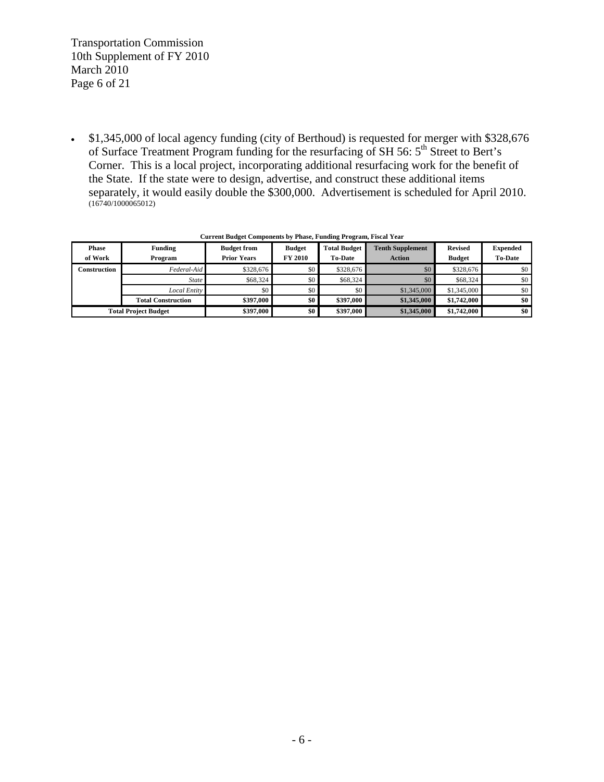Transportation Commission 10th Supplement of FY 2010 March 2010 Page 6 of 21

• \$1,345,000 of local agency funding (city of Berthoud) is requested for merger with \$328,676 of Surface Treatment Program funding for the resurfacing of SH 56:  $5<sup>th</sup>$  Street to Bert's Corner. This is a local project, incorporating additional resurfacing work for the benefit of the State. If the state were to design, advertise, and construct these additional items separately, it would easily double the \$300,000. Advertisement is scheduled for April 2010.  $(16740/1000065012)$ 

| <b>Phase</b>                | Funding                   | <b>Budget from</b> | <b>Budget</b>  | <b>Total Budget</b> | <b>Tenth Supplement</b> | <b>Revised</b> | <b>Expended</b> |
|-----------------------------|---------------------------|--------------------|----------------|---------------------|-------------------------|----------------|-----------------|
| of Work                     | Program                   | <b>Prior Years</b> | <b>FY 2010</b> | <b>To-Date</b>      | <b>Action</b>           | <b>Budget</b>  | <b>To-Date</b>  |
| Construction                | Federal-Aid               | \$328,676          | \$0            | \$328,676           | \$0                     | \$328,676      | \$0             |
|                             | <b>State</b>              | \$68,324           | \$0            | \$68,324            | \$0                     | \$68,324       | \$0             |
|                             | <b>Local Entity</b>       | \$0                | \$0            | \$0                 | \$1,345,000             | \$1,345,000    | \$0             |
|                             | <b>Total Construction</b> | \$397,000          | \$0            | \$397,000           | \$1,345,000             | \$1,742,000    | \$0             |
| <b>Total Project Budget</b> |                           | \$397,000          | \$0            | \$397,000           | \$1,345,000             | \$1,742,000    | \$0             |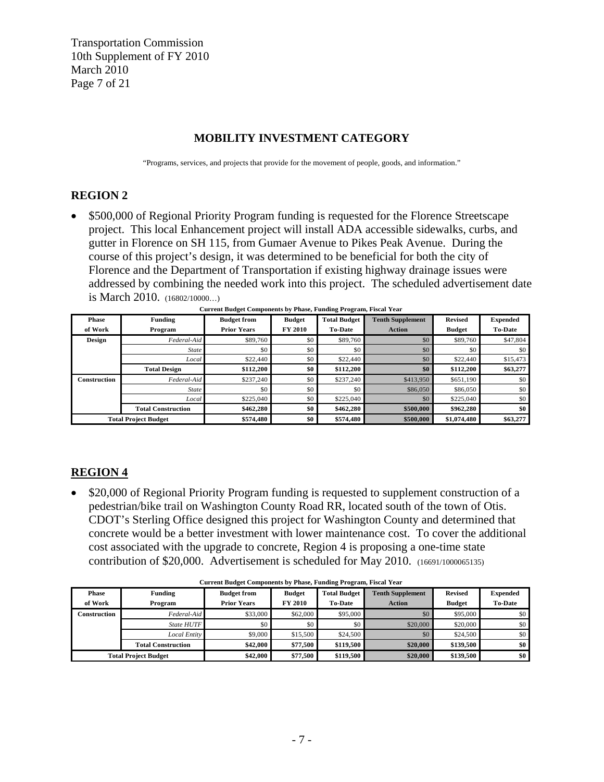Transportation Commission 10th Supplement of FY 2010 March 2010 Page 7 of 21

#### **MOBILITY INVESTMENT CATEGORY**

"Programs, services, and projects that provide for the movement of people, goods, and information."

### **REGION 2**

• \$500,000 of Regional Priority Program funding is requested for the Florence Streetscape project. This local Enhancement project will install ADA accessible sidewalks, curbs, and gutter in Florence on SH 115, from Gumaer Avenue to Pikes Peak Avenue. During the course of this project's design, it was determined to be beneficial for both the city of Florence and the Department of Transportation if existing highway drainage issues were addressed by combining the needed work into this project. The scheduled advertisement date is March 2010. (16802/10000…)

| <b>Phase</b>        | Funding                     | <b>Budget from</b> | <b>Budget</b>  | <b>Total Budget</b> | <b>Tenth Supplement</b> | <b>Revised</b> | <b>Expended</b> |
|---------------------|-----------------------------|--------------------|----------------|---------------------|-------------------------|----------------|-----------------|
| of Work             | Program                     | <b>Prior Years</b> | <b>FY 2010</b> | <b>To-Date</b>      | <b>Action</b>           | <b>Budget</b>  | <b>To-Date</b>  |
| Design              | Federal-Aid                 | \$89,760           | \$0            | \$89,760            | \$0                     | \$89,760       | \$47,804        |
|                     | <b>State</b>                | \$0                | \$0            | \$0                 | \$0                     | \$0            | \$0             |
|                     | Local                       | \$22,440           | \$0            | \$22,440            | \$0                     | \$22,440       | \$15,473        |
|                     | <b>Total Design</b>         | \$112,200          | \$0            | \$112,200           | \$0                     | \$112,200      | \$63,277        |
| <b>Construction</b> | Federal-Aid                 | \$237,240          | \$0            | \$237,240           | \$413,950               | \$651,190      | \$0             |
|                     | <b>State</b>                | \$0                | \$0            | \$0                 | \$86,050                | \$86,050       | \$0             |
|                     | Local                       | \$225,040          | \$0            | \$225,040           | \$0                     | \$225,040      | \$0             |
|                     | <b>Total Construction</b>   | \$462,280          | \$0            | \$462,280           | \$500,000               | \$962,280      | \$0             |
|                     | <b>Total Project Budget</b> | \$574,480          | \$0            | \$574,480           | \$500,000               | \$1,074,480    | \$63,277        |

**Current Budget Components by Phase, Funding Program, Fiscal Year**

### **REGION 4**

• \$20,000 of Regional Priority Program funding is requested to supplement construction of a pedestrian/bike trail on Washington County Road RR, located south of the town of Otis. CDOT's Sterling Office designed this project for Washington County and determined that concrete would be a better investment with lower maintenance cost. To cover the additional cost associated with the upgrade to concrete, Region 4 is proposing a one-time state contribution of \$20,000. Advertisement is scheduled for May 2010. (16691/1000065135)

| <b>Phase</b> | Funding                     | <b>Budget from</b> | <b>Budget</b>  | <b>Total Budget</b> | <b>Tenth Supplement</b> | <b>Revised</b> | <b>Expended</b> |
|--------------|-----------------------------|--------------------|----------------|---------------------|-------------------------|----------------|-----------------|
| of Work      | Program                     | <b>Prior Years</b> | <b>FY 2010</b> | <b>To-Date</b>      | <b>Action</b>           | <b>Budget</b>  | <b>To-Date</b>  |
| Construction | Federal-Aid                 | \$33,000           | \$62,000       | \$95,000            | \$0                     | \$95,000       | \$0             |
|              | <b>State HUTF</b>           | \$0                | \$0            | \$0                 | \$20,000                | \$20,000       | \$0             |
|              | Local Entity                | \$9,000            | \$15,500       | \$24,500            | \$0\$                   | \$24,500       | \$0             |
|              | <b>Total Construction</b>   | \$42,000           | \$77,500       | \$119.500           | \$20,000                | \$139,500      | \$0             |
|              | <b>Total Project Budget</b> | \$42,000           | \$77,500       | \$119,500           | \$20,000                | \$139,500      | \$0             |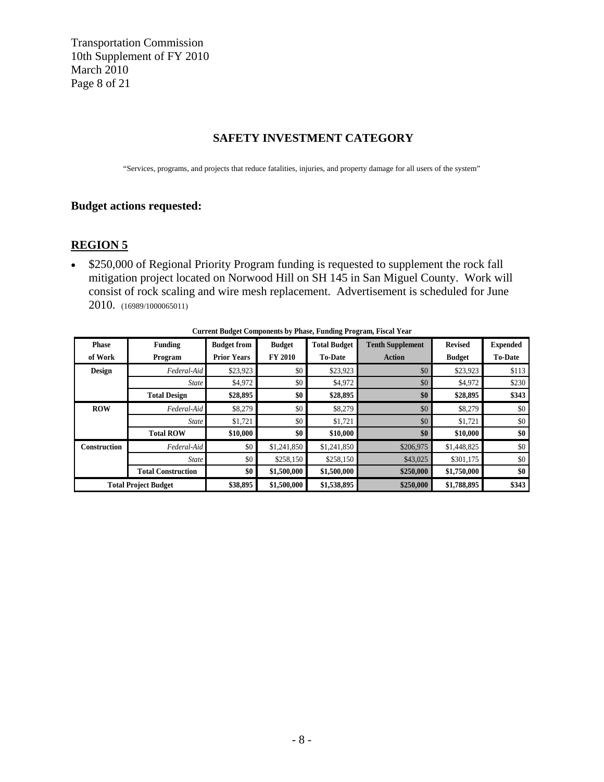Transportation Commission 10th Supplement of FY 2010 March 2010 Page 8 of 21

#### **SAFETY INVESTMENT CATEGORY**

"Services, programs, and projects that reduce fatalities, injuries, and property damage for all users of the system"

#### **Budget actions requested:**

#### **REGION 5**

• \$250,000 of Regional Priority Program funding is requested to supplement the rock fall mitigation project located on Norwood Hill on SH 145 in San Miguel County. Work will consist of rock scaling and wire mesh replacement. Advertisement is scheduled for June 2010. (16989/1000065011)

| <b>Phase</b> | <b>Funding</b>              | <b>Budget from</b> | <b>Budget</b>  | <b>Total Budget</b> | <b>Tenth Supplement</b> | <b>Revised</b> | <b>Expended</b> |
|--------------|-----------------------------|--------------------|----------------|---------------------|-------------------------|----------------|-----------------|
| of Work      | Program                     | <b>Prior Years</b> | <b>FY 2010</b> | <b>To-Date</b>      | <b>Action</b>           | <b>Budget</b>  | <b>To-Date</b>  |
| Design       | Federal-Aid                 | \$23,923           | \$0            | \$23,923            | \$0                     | \$23,923       | \$113           |
|              | <b>State</b>                | \$4,972            | \$0            | \$4,972             | \$0                     | \$4,972        | \$230           |
|              | <b>Total Design</b>         | \$28,895           | \$0            | \$28,895            | \$0                     | \$28,895       | \$343           |
| <b>ROW</b>   | Federal-Aid                 | \$8,279            | \$0            | \$8,279             | \$0                     | \$8,279        | \$0             |
|              | <b>State</b>                | \$1,721            | \$0            | \$1,721             | \$0                     | \$1,721        | \$0             |
|              | <b>Total ROW</b>            | \$10,000           | \$0            | \$10,000            | \$0                     | \$10,000       | \$0             |
| Construction | Federal-Aid                 | \$0                | \$1,241,850    | \$1,241,850         | \$206,975               | \$1,448,825    | \$0             |
|              | State                       | \$0                | \$258,150      | \$258,150           | \$43,025                | \$301,175      | \$0             |
|              | <b>Total Construction</b>   | \$0                | \$1,500,000    | \$1,500,000         | \$250,000               | \$1,750,000    | \$0             |
|              | <b>Total Project Budget</b> | \$38,895           | \$1,500,000    | \$1,538,895         | \$250,000               | \$1,788,895    | \$343           |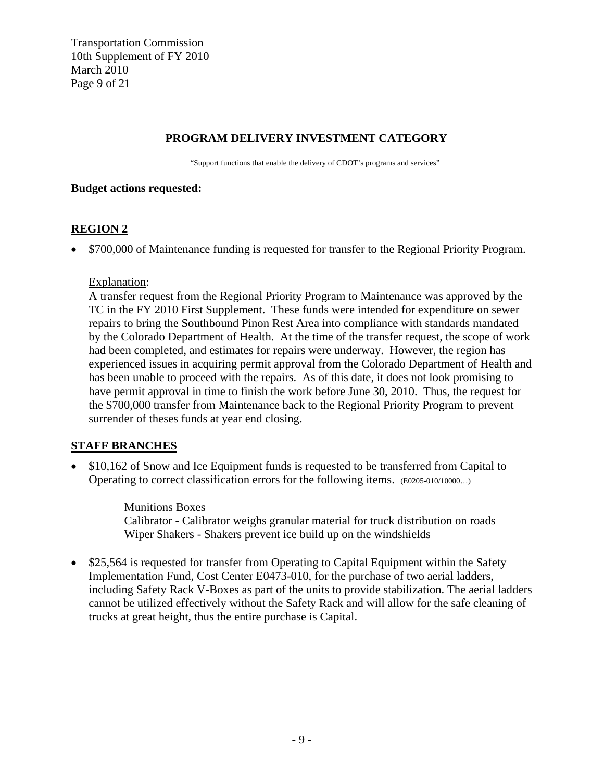Transportation Commission 10th Supplement of FY 2010 March 2010 Page 9 of 21

#### **PROGRAM DELIVERY INVESTMENT CATEGORY**

"Support functions that enable the delivery of CDOT's programs and services"

#### **Budget actions requested:**

### **REGION 2**

• \$700,000 of Maintenance funding is requested for transfer to the Regional Priority Program.

#### Explanation:

A transfer request from the Regional Priority Program to Maintenance was approved by the TC in the FY 2010 First Supplement. These funds were intended for expenditure on sewer repairs to bring the Southbound Pinon Rest Area into compliance with standards mandated by the Colorado Department of Health. At the time of the transfer request, the scope of work had been completed, and estimates for repairs were underway. However, the region has experienced issues in acquiring permit approval from the Colorado Department of Health and has been unable to proceed with the repairs. As of this date, it does not look promising to have permit approval in time to finish the work before June 30, 2010. Thus, the request for the \$700,000 transfer from Maintenance back to the Regional Priority Program to prevent surrender of theses funds at year end closing.

#### **STAFF BRANCHES**

• \$10,162 of Snow and Ice Equipment funds is requested to be transferred from Capital to Operating to correct classification errors for the following items. (E0205-010/10000…)

> Munitions Boxes Calibrator - Calibrator weighs granular material for truck distribution on roads Wiper Shakers - Shakers prevent ice build up on the windshields

• \$25,564 is requested for transfer from Operating to Capital Equipment within the Safety Implementation Fund, Cost Center E0473-010, for the purchase of two aerial ladders, including Safety Rack V-Boxes as part of the units to provide stabilization. The aerial ladders cannot be utilized effectively without the Safety Rack and will allow for the safe cleaning of trucks at great height, thus the entire purchase is Capital.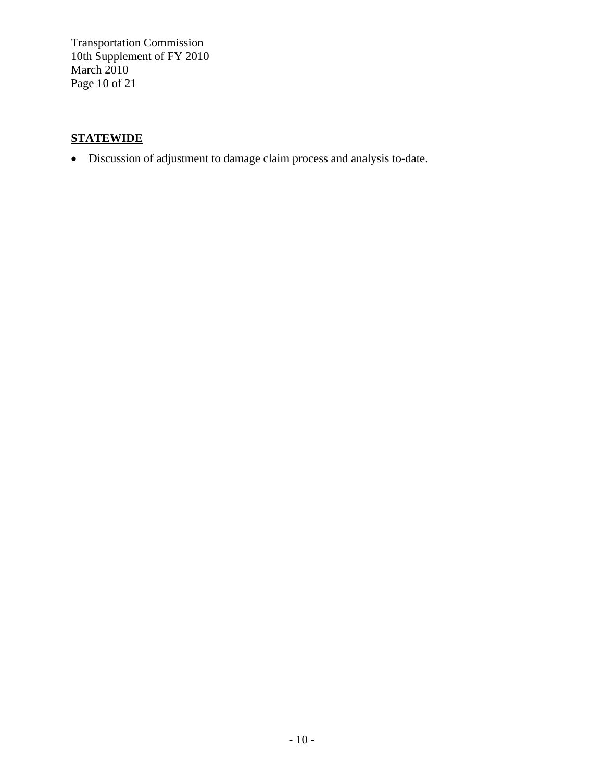Transportation Commission 10th Supplement of FY 2010 March 2010 Page 10 of 21

# **STATEWIDE**

• Discussion of adjustment to damage claim process and analysis to-date.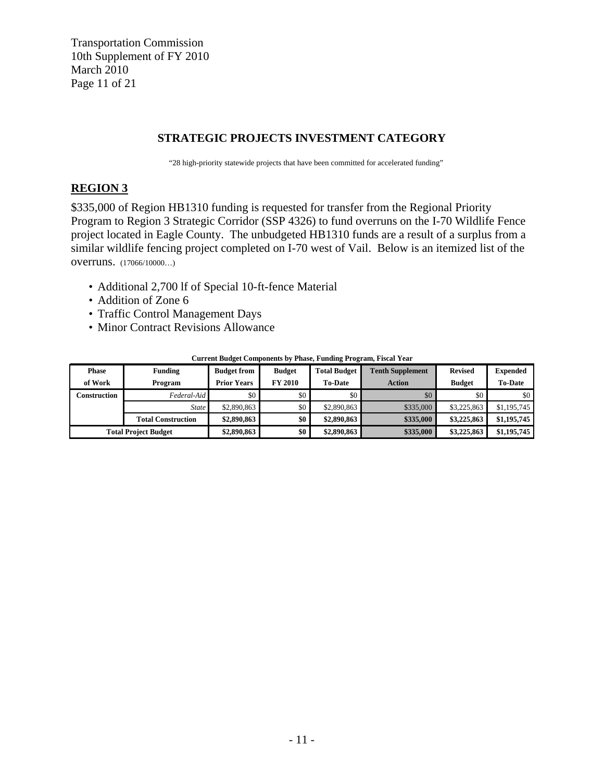Transportation Commission 10th Supplement of FY 2010 March 2010 Page 11 of 21

#### **STRATEGIC PROJECTS INVESTMENT CATEGORY**

"28 high-priority statewide projects that have been committed for accelerated funding"

### **REGION 3**

\$335,000 of Region HB1310 funding is requested for transfer from the Regional Priority Program to Region 3 Strategic Corridor (SSP 4326) to fund overruns on the I-70 Wildlife Fence project located in Eagle County. The unbudgeted HB1310 funds are a result of a surplus from a similar wildlife fencing project completed on I-70 west of Vail. Below is an itemized list of the overruns. (17066/10000…)

- Additional 2,700 lf of Special 10-ft-fence Material
- Addition of Zone 6
- Traffic Control Management Days
- Minor Contract Revisions Allowance

| <b>Phase</b> | <b>Funding</b>              | <b>Budget from</b> | <b>Budget</b>    | <b>Total Budget</b> | <b>Tenth Supplement</b> | <b>Revised</b> | <b>Expended</b> |
|--------------|-----------------------------|--------------------|------------------|---------------------|-------------------------|----------------|-----------------|
| of Work      | Program                     | <b>Prior Years</b> | <b>FY 2010</b>   | <b>To-Date</b>      | <b>Action</b>           | <b>Budget</b>  | <b>To-Date</b>  |
| Construction | Federal-Aid                 | $\frac{1}{20}$     | \$0 <sub>1</sub> | \$0                 | \$0                     | \$0            | \$0             |
|              | <b>State</b>                | \$2,890,863        | \$0 <sub>1</sub> | \$2,890,863         | \$335,000               | \$3,225,863    | \$1,195,745     |
|              | <b>Total Construction</b>   | \$2,890,863        | \$0              | \$2,890,863         | \$335,000               | \$3,225,863    | \$1,195,745     |
|              | <b>Total Project Budget</b> | \$2,890,863        | \$0              | \$2,890,863         | \$335,000               | \$3,225,863    | \$1,195,745     |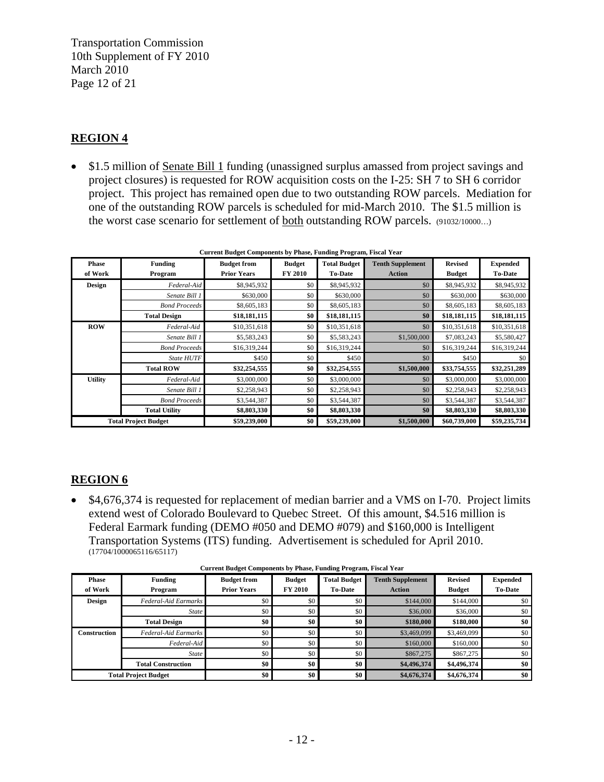Transportation Commission 10th Supplement of FY 2010 March 2010 Page 12 of 21

### **REGION 4**

• \$1.5 million of Senate Bill 1 funding (unassigned surplus amassed from project savings and project closures) is requested for ROW acquisition costs on the I-25: SH 7 to SH 6 corridor project. This project has remained open due to two outstanding ROW parcels. Mediation for one of the outstanding ROW parcels is scheduled for mid-March 2010. The \$1.5 million is the worst case scenario for settlement of **both** outstanding ROW parcels. (91032/10000...)

| <b>Phase</b>   | Funding                     | <b>Budget from</b> | <b>Budget</b>  | <b>Total Budget</b> | <b>Tenth Supplement</b> | <b>Revised</b> | <b>Expended</b> |
|----------------|-----------------------------|--------------------|----------------|---------------------|-------------------------|----------------|-----------------|
| of Work        | Program                     | <b>Prior Years</b> | <b>FY 2010</b> | <b>To-Date</b>      | <b>Action</b>           | <b>Budget</b>  | <b>To-Date</b>  |
| <b>Design</b>  | Federal-Aid                 | \$8,945,932        | \$0            | \$8,945,932         | \$0                     | \$8,945,932    | \$8,945,932     |
|                | Senate Bill 1               | \$630,000          | \$0            | \$630,000           | \$0                     | \$630,000      | \$630,000       |
|                | <b>Bond Proceeds</b>        | \$8,605,183        | \$0            | \$8,605,183         | \$0                     | \$8,605,183    | \$8,605,183     |
|                | <b>Total Design</b>         | \$18,181,115       | \$0            | \$18,181,115        | \$0                     | \$18,181,115   | \$18,181,115    |
| <b>ROW</b>     | Federal-Aid                 | \$10,351,618       | \$0            | \$10,351,618        | \$0                     | \$10,351,618   | \$10,351,618    |
|                | Senate Bill 1               | \$5,583,243        | \$0            | \$5,583,243         | \$1,500,000             | \$7,083,243    | \$5,580,427     |
|                | <b>Bond Proceeds</b>        | \$16,319,244       | \$0            | \$16,319,244        | \$0                     | \$16,319,244   | \$16,319,244    |
|                | <b>State HUTF</b>           | \$450              | \$0            | \$450               | \$0                     | \$450          | \$0             |
|                | <b>Total ROW</b>            | \$32,254,555       | \$0            | \$32,254,555        | \$1,500,000             | \$33,754,555   | \$32,251,289    |
| <b>Utility</b> | Federal-Aid                 | \$3,000,000        | \$0            | \$3,000,000         | \$0                     | \$3,000,000    | \$3,000,000     |
|                | Senate Bill 1               | \$2,258,943        | \$0            | \$2,258,943         | \$0                     | \$2,258,943    | \$2,258,943     |
|                | <b>Bond Proceeds</b>        | \$3,544,387        | \$0            | \$3,544,387         | \$0                     | \$3,544,387    | \$3,544,387     |
|                | <b>Total Utility</b>        | \$8,803,330        | \$0            | \$8,803,330         | \$0                     | \$8,803,330    | \$8,803,330     |
|                | <b>Total Project Budget</b> | \$59,239,000       | \$0            | \$59,239,000        | \$1,500,000             | \$60,739,000   | \$59,235,734    |

| <b>Current Budget Components by Phase, Funding Program, Fiscal Year</b> |  |  |  |
|-------------------------------------------------------------------------|--|--|--|

#### **REGION 6**

• \$4,676,374 is requested for replacement of median barrier and a VMS on I-70. Project limits extend west of Colorado Boulevard to Quebec Street. Of this amount, \$4.516 million is Federal Earmark funding (DEMO #050 and DEMO #079) and \$160,000 is Intelligent Transportation Systems (ITS) funding. Advertisement is scheduled for April 2010. (17704/1000065116/65117)

| <b>Phase</b><br>of Work | <b>Funding</b><br>Program   | <b>Budget from</b><br><b>Prior Years</b> | <b>Budget</b><br><b>FY 2010</b> | <b>Total Budget</b><br><b>To-Date</b> | <b>Tenth Supplement</b><br><b>Action</b> | <b>Revised</b><br><b>Budget</b> | <b>Expended</b><br><b>To-Date</b> |
|-------------------------|-----------------------------|------------------------------------------|---------------------------------|---------------------------------------|------------------------------------------|---------------------------------|-----------------------------------|
| <b>Design</b>           | Federal-Aid Earmarks        | \$0                                      | \$0                             | \$0                                   | \$144,000                                | \$144,000                       | \$0                               |
|                         | <b>State</b>                | \$0                                      | \$0                             | \$0                                   | \$36,000                                 | \$36,000                        | \$0                               |
|                         | <b>Total Design</b>         | \$0                                      | \$0                             | \$0                                   | \$180,000                                | \$180,000                       | \$0                               |
| <b>Construction</b>     | Federal-Aid Earmarks        | \$0                                      | \$0                             | \$0                                   | \$3,469,099                              | \$3,469,099                     | \$0                               |
|                         | Federal-Aid                 | \$0                                      | \$0                             | \$0                                   | \$160,000                                | \$160,000                       | \$0                               |
|                         | <b>State</b>                | \$0                                      | \$0                             | \$0                                   | \$867,275                                | \$867,275                       | \$0                               |
|                         | <b>Total Construction</b>   | \$0                                      | \$0                             | \$0                                   | \$4,496,374                              | \$4,496,374                     | \$0                               |
|                         | <b>Total Project Budget</b> | \$0                                      | \$0                             | \$0                                   | \$4,676,374                              | \$4,676,374                     | \$0                               |

| <b>Current Budget Components by Phase, Funding Program, Fiscal Year</b> |  |  |  |
|-------------------------------------------------------------------------|--|--|--|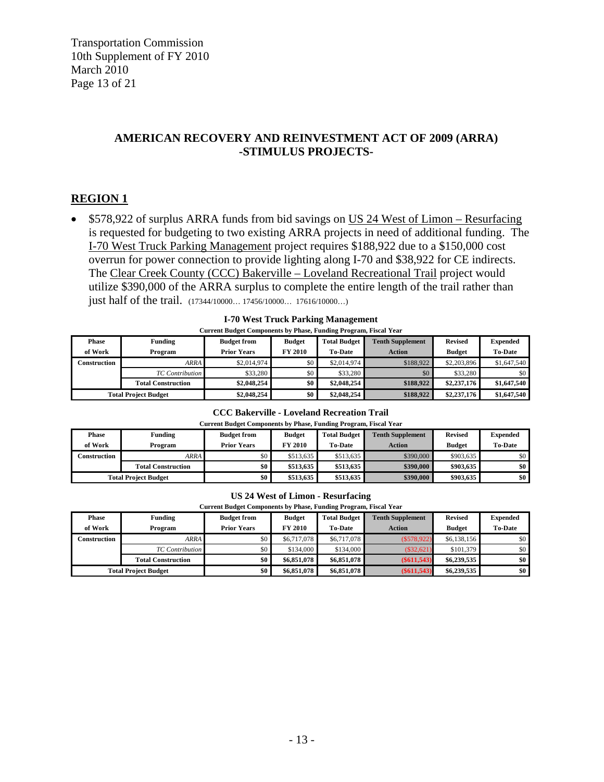Transportation Commission 10th Supplement of FY 2010 March 2010 Page 13 of 21

#### **AMERICAN RECOVERY AND REINVESTMENT ACT OF 2009 (ARRA) -STIMULUS PROJECTS-**

### **REGION 1**

• \$578,922 of surplus ARRA funds from bid savings on US 24 West of Limon – Resurfacing is requested for budgeting to two existing ARRA projects in need of additional funding. The I-70 West Truck Parking Management project requires \$188,922 due to a \$150,000 cost overrun for power connection to provide lighting along I-70 and \$38,922 for CE indirects. The Clear Creek County (CCC) Bakerville – Loveland Recreational Trail project would utilize \$390,000 of the ARRA surplus to complete the entire length of the trail rather than just half of the trail. (17344/10000… 17456/10000… 17616/10000…)

| <b>Current Budget Components by Phase, Funding Program, Fiscal Year</b> |                             |                    |                |                     |                         |                |                 |  |  |
|-------------------------------------------------------------------------|-----------------------------|--------------------|----------------|---------------------|-------------------------|----------------|-----------------|--|--|
| <b>Phase</b>                                                            | <b>Funding</b>              | <b>Budget from</b> | <b>Budget</b>  | <b>Total Budget</b> | <b>Tenth Supplement</b> | <b>Revised</b> | <b>Expended</b> |  |  |
| of Work                                                                 | Program                     | <b>Prior Years</b> | <b>FY 2010</b> | <b>To-Date</b>      | <b>Action</b>           | <b>Budget</b>  | <b>To-Date</b>  |  |  |
| Construction                                                            | ARRA                        | \$2,014,974        | \$0            | \$2,014.974         | \$188,922               | \$2,203,896    | \$1,647,540     |  |  |
|                                                                         | <b>TC</b> Contribution      | \$33,280           | \$0            | \$33,280            | \$0                     | \$33,280       | \$0             |  |  |
|                                                                         | <b>Total Construction</b>   | \$2,048,254        | \$0            | \$2,048,254         | \$188,922               | \$2,237,176    | \$1,647,540     |  |  |
|                                                                         | <b>Total Project Budget</b> | \$2,048,254        | \$0            | \$2,048,254         | \$188,922               | \$2,237,176    | \$1,647,540     |  |  |

| $\frac{1}{2}$ , $\frac{1}{2}$ , $\frac{1}{2}$ , $\frac{1}{2}$ , $\frac{1}{2}$ , $\frac{1}{2}$ , $\frac{1}{2}$ , $\frac{1}{2}$ , $\frac{1}{2}$ , $\frac{1}{2}$ , $\frac{1}{2}$ |  |
|-------------------------------------------------------------------------------------------------------------------------------------------------------------------------------|--|
| rrent Rudget Components by Phase-Funding Program-Fiscal Ves                                                                                                                   |  |

#### **CCC Bakerville - Loveland Recreation Trail**

| Current Budget Components by Phase, Funding Program, Fiscal Year |                           |                    |                |                     |                         |                |                 |  |  |
|------------------------------------------------------------------|---------------------------|--------------------|----------------|---------------------|-------------------------|----------------|-----------------|--|--|
| <b>Phase</b>                                                     | Funding                   | <b>Budget from</b> | <b>Budget</b>  | <b>Total Budget</b> | <b>Tenth Supplement</b> | <b>Revised</b> | <b>Expended</b> |  |  |
| of Work                                                          | Program                   | <b>Prior Years</b> | <b>FY 2010</b> | <b>To-Date</b>      | Action                  | <b>Budget</b>  | <b>To-Date</b>  |  |  |
| Construction                                                     | <b>ARRA</b>               | \$0                | \$513.635      | \$513,635           | \$390,000               | \$903,635      | \$0             |  |  |
|                                                                  | <b>Total Construction</b> | \$0                | \$513,635      | \$513,635           | \$390,000               | \$903,635      | \$0             |  |  |
| <b>Total Project Budget</b>                                      |                           | \$0                | \$513,635      | \$513,635           | \$390,000               | \$903,635      | \$0             |  |  |

#### **US 24 West of Limon - Resurfacing**

| <b>Current Budget Components by Phase, Funding Program, Fiscal Year</b> |
|-------------------------------------------------------------------------|
|-------------------------------------------------------------------------|

| <b>Phase</b><br>of Work | Funding<br>Program          | <b>Budget from</b><br><b>Prior Years</b> | <b>Budget</b><br><b>FY 2010</b> | Total Budget<br><b>To-Date</b> | <b>Tenth Supplement</b><br><b>Action</b> | <b>Revised</b><br><b>Budget</b> | <b>Expended</b><br><b>To-Date</b> |
|-------------------------|-----------------------------|------------------------------------------|---------------------------------|--------------------------------|------------------------------------------|---------------------------------|-----------------------------------|
| Construction            | ARRA                        | \$0 <sub>1</sub>                         | \$6,717,078                     | \$6,717,078                    | $(\$578,922)$                            | \$6,138,156                     | \$0                               |
|                         | TC Contribution             | 50 <sup>1</sup>                          | \$134,000                       | \$134,000                      | $(\$32,621)$                             | \$101,379                       | \$0                               |
|                         | <b>Total Construction</b>   | \$0 <sub>1</sub>                         | \$6,851,078                     | \$6,851,078                    | $(\$611,543)$                            | \$6,239,535                     | \$0                               |
|                         | <b>Total Project Budget</b> | \$0 <sub>1</sub>                         | \$6,851,078                     | \$6,851,078                    | $(\$611,543)$                            | \$6,239,535                     | \$0                               |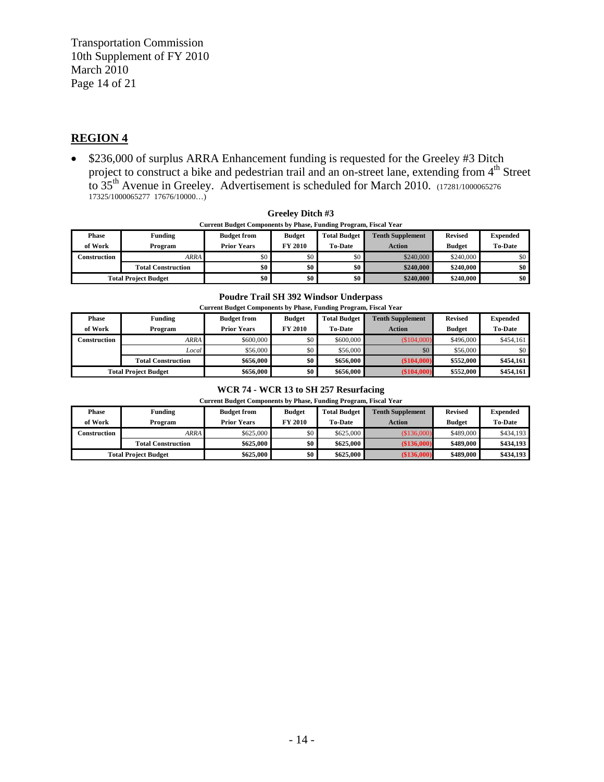Transportation Commission 10th Supplement of FY 2010 March 2010 Page 14 of 21

#### **REGION 4**

• \$236,000 of surplus ARRA Enhancement funding is requested for the Greeley #3 Ditch project to construct a bike and pedestrian trail and an on-street lane, extending from 4<sup>th</sup> Street to  $35<sup>th</sup>$  Avenue in Greeley. Advertisement is scheduled for March 2010. (17281/1000065276) 17325/1000065277 17676/10000…)

| Current Budget Components by Phase, Funding Program, Fiscal Year |                           |                    |                |                     |                         |                |                  |  |  |  |
|------------------------------------------------------------------|---------------------------|--------------------|----------------|---------------------|-------------------------|----------------|------------------|--|--|--|
| <b>Phase</b>                                                     | Funding                   | <b>Budget from</b> | <b>Budget</b>  | <b>Total Budget</b> | <b>Tenth Supplement</b> | <b>Revised</b> | <b>Expended</b>  |  |  |  |
| of Work                                                          | Program                   | <b>Prior Years</b> | <b>FY 2010</b> | <b>To-Date</b>      | <b>Action</b>           | <b>Budget</b>  | <b>To-Date</b>   |  |  |  |
| Construction                                                     | ARRA                      | \$0.1              |                | \$0                 | \$240,000               | \$240,000      | \$0              |  |  |  |
|                                                                  | <b>Total Construction</b> | \$0 <sub>1</sub>   | \$0            | \$0                 | \$240,000               | \$240,000      | \$0              |  |  |  |
| <b>Total Project Budget</b>                                      |                           | \$0 <sub>1</sub>   | \$0            | \$0                 | \$240,000               | \$240,000      | \$0 <sub>1</sub> |  |  |  |

# **Greeley Ditch #3**

#### **Poudre Trail SH 392 Windsor Underpass**

| <b>Current Budget Components by Phase, Funding Program, Fiscal Year</b> |                           |                    |                |                     |                         |                |                 |  |  |
|-------------------------------------------------------------------------|---------------------------|--------------------|----------------|---------------------|-------------------------|----------------|-----------------|--|--|
| <b>Phase</b>                                                            | Funding                   | <b>Budget from</b> | <b>Budget</b>  | <b>Total Budget</b> | <b>Tenth Supplement</b> | <b>Revised</b> | <b>Expended</b> |  |  |
| of Work                                                                 | Program                   | <b>Prior Years</b> | <b>FY 2010</b> | <b>To-Date</b>      | <b>Action</b>           | <b>Budget</b>  | <b>To-Date</b>  |  |  |
| Construction                                                            | <b>ARRA</b>               | \$600,000          | \$0            | \$600,000           | (S104,000)              | \$496,000      | \$454,161       |  |  |
|                                                                         | Local                     | \$56,000           | \$0            | \$56,000            | \$0                     | \$56,000       | \$0             |  |  |
|                                                                         | <b>Total Construction</b> | \$656,000          | \$0            | \$656,000           | (\$104,000)             | \$552,000      | \$454,161       |  |  |
| <b>Total Project Budget</b>                                             |                           | \$656,000          | \$0            | \$656,000           | (\$104,000)             | \$552,000      | \$454,161       |  |  |

#### **WCR 74 - WCR 13 to SH 257 Resurfacing**

| <b>Phase</b><br>of Work     | Funding<br>Program        | <b>Budget from</b><br><b>Prior Years</b> | <b>Budget</b><br><b>FY 2010</b> | <b>Total Budget</b><br><b>To-Date</b> | <b>Tenth Supplement</b><br>Action | <b>Revised</b><br><b>Budget</b> | <b>Expended</b><br><b>To-Date</b> |
|-----------------------------|---------------------------|------------------------------------------|---------------------------------|---------------------------------------|-----------------------------------|---------------------------------|-----------------------------------|
| Construction                | ARRA                      | \$625,000                                | \$0                             | \$625,000                             | (\$136,000)                       | \$489,000                       | \$434,193                         |
|                             | <b>Total Construction</b> | \$625,000                                | \$0                             | \$625,000                             | (\$136,000)                       | \$489,000                       | \$434,193                         |
| <b>Total Project Budget</b> |                           | \$625,000                                | \$0                             | \$625,000                             | (\$136,000)                       | \$489,000                       | \$434,193                         |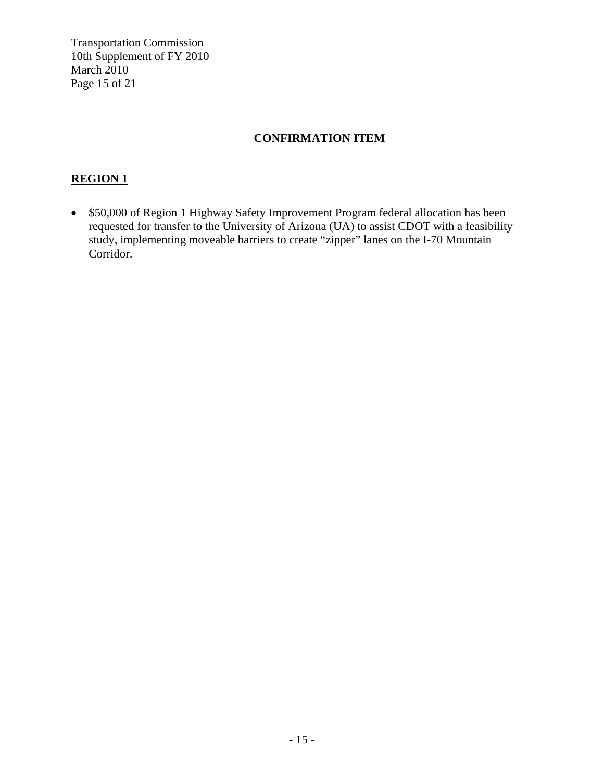Transportation Commission 10th Supplement of FY 2010 March 2010 Page 15 of 21

# **CONFIRMATION ITEM**

### **REGION 1**

• \$50,000 of Region 1 Highway Safety Improvement Program federal allocation has been requested for transfer to the University of Arizona (UA) to assist CDOT with a feasibility study, implementing moveable barriers to create "zipper" lanes on the I-70 Mountain Corridor.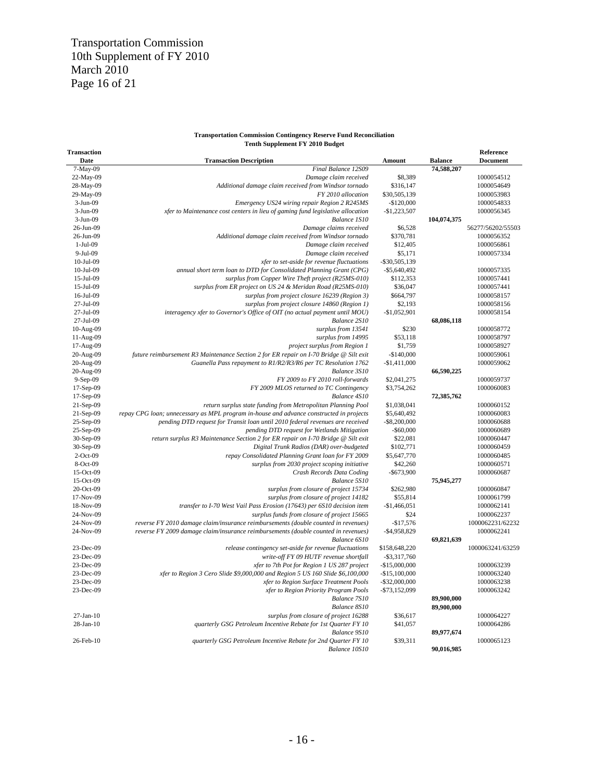#### **Transportation Commission Contingency Reserve Fund Reconciliation Tenth Supplement FY 2010 Budget**

| Transaction     |                                                                                         |                  |                | Reference         |
|-----------------|-----------------------------------------------------------------------------------------|------------------|----------------|-------------------|
| Date            | <b>Transaction Description</b>                                                          | Amount           | <b>Balance</b> | Document          |
| 7-May-09        | Final Balance 12S09                                                                     |                  | 74,588,207     |                   |
| 22-May-09       | Damage claim received                                                                   | \$8,389          |                | 1000054512        |
| 28-May-09       | Additional damage claim received from Windsor tornado                                   | \$316,147        |                | 1000054649        |
| 29-May-09       | FY 2010 allocation                                                                      | \$30,505,139     |                | 1000053983        |
| 3-Jun-09        | Emergency US24 wiring repair Region 2 R245MS                                            | $-$120,000$      |                | 1000054833        |
| $3-Jun-09$      | xfer to Maintenance cost centers in lieu of gaming fund legislative allocation          | $-$1,223,507$    |                | 1000056345        |
| $3-Jun-09$      | Balance 1S10                                                                            |                  | 104,074,375    |                   |
| 26-Jun-09       | Damage claims received                                                                  | \$6,528          |                | 56277/56202/55503 |
| 26-Jun-09       | Additional damage claim received from Windsor tornado                                   | \$370,781        |                | 1000056352        |
| 1-Jul-09        | Damage claim received                                                                   | \$12,405         |                | 1000056861        |
| 9-Jul-09        |                                                                                         | \$5,171          |                | 1000057334        |
|                 | Damage claim received                                                                   |                  |                |                   |
| $10-Jul-09$     | xfer to set-aside for revenue fluctuations                                              | $-$ \$30,505,139 |                |                   |
| $10-Jul-09$     | annual short term loan to DTD for Consolidated Planning Grant (CPG)                     | $-$ \$5,640,492  |                | 1000057335        |
| 15-Jul-09       | surplus from Copper Wire Theft project (R25MS-010)                                      | \$112,353        |                | 1000057441        |
| 15-Jul-09       | surplus from ER project on US 24 & Meridan Road (R25MS-010)                             | \$36,047         |                | 1000057441        |
| 16-Jul-09       | surplus from project closure 16239 (Region 3)                                           | \$664,797        |                | 1000058157        |
| 27-Jul-09       | surplus from project closure 14860 (Region 1)                                           | \$2,193          |                | 1000058156        |
| 27-Jul-09       | interagency xfer to Governor's Office of OIT (no actual payment until MOU)              | $-$1,052,901$    |                | 1000058154        |
| 27-Jul-09       | Balance 2S10                                                                            |                  | 68,086,118     |                   |
| 10-Aug-09       | surplus from 13541                                                                      | \$230            |                | 1000058772        |
| 11-Aug-09       | surplus from 14995                                                                      | \$53,118         |                | 1000058797        |
| 17-Aug-09       | project surplus from Region 1                                                           | \$1,759          |                | 1000058927        |
| 20-Aug-09       | future reimbursement R3 Maintenance Section 2 for ER repair on I-70 Bridge @ Silt exit  | $-$140,000$      |                | 1000059061        |
| 20-Aug-09       | Guanella Pass repayment to R1/R2/R3/R6 per TC Resolution 1762                           | $-$1,411,000$    |                | 1000059062        |
| 20-Aug-09       | Balance 3S10                                                                            |                  | 66,590,225     |                   |
| 9-Sep-09        | FY 2009 to FY 2010 roll-forwards                                                        | \$2,041,275      |                | 1000059737        |
| 17-Sep-09       | FY 2009 MLOS returned to TC Contingency                                                 | \$3,754,262      |                | 1000060083        |
| $17-Sep-09$     | Balance 4S10                                                                            |                  | 72,385,762     |                   |
| 21-Sep-09       | return surplus state funding from Metropolitan Planning Pool                            | \$1,038,041      |                | 1000060152        |
| 21-Sep-09       | repay CPG loan; unnecessary as MPL program in-house and advance constructed in projects | \$5,640,492      |                | 1000060083        |
| 25-Sep-09       | pending DTD request for Transit loan until 2010 federal revenues are received           | $-$ \$8,200,000  |                | 1000060688        |
| 25-Sep-09       | pending DTD request for Wetlands Mitigation                                             | $-$ \$60,000     |                | 1000060689        |
| 30-Sep-09       | return surplus R3 Maintenance Section 2 for ER repair on I-70 Bridge @ Silt exit        | \$22,081         |                | 1000060447        |
| 30-Sep-09       | Digital Trunk Radios (DAR) over-budgeted                                                | \$102,771        |                | 1000060459        |
| $2$ -Oct-09     | repay Consolidated Planning Grant loan for FY 2009                                      | \$5,647,770      |                | 1000060485        |
| 8-Oct-09        | surplus from 2030 project scoping initiative                                            | \$42,260         |                | 1000060571        |
| 15-Oct-09       | Crash Records Data Coding                                                               | $-$ \$673,900    |                | 1000060687        |
| $15-Oct-09$     | Balance 5S10                                                                            |                  | 75,945,277     |                   |
| $20$ -Oct-09    | surplus from closure of project 15734                                                   | \$262,980        |                | 1000060847        |
| 17-Nov-09       | surplus from closure of project 14182                                                   | \$55,814         |                | 1000061799        |
| 18-Nov-09       | transfer to I-70 West Vail Pass Erosion (17643) per 6S10 decision item                  | $-$1,466,051$    |                | 1000062141        |
| 24-Nov-09       | surplus funds from closure of project 15665                                             | \$24             |                | 1000062237        |
| 24-Nov-09       | reverse FY 2010 damage claim/insurance reimbursements (double counted in revenues)      | $-$17,576$       |                | 1000062231/62232  |
|                 |                                                                                         |                  |                | 1000062241        |
| 24-Nov-09       | reverse FY 2009 damage claim/insurance reimbursements (double counted in revenues)      | $-$ \$4,958,829  |                |                   |
|                 | Balance 6S10                                                                            |                  | 69,821,639     |                   |
| 23-Dec-09       | release contingency set-aside for revenue fluctuations                                  | \$158,648,220    |                | 1000063241/63259  |
| 23-Dec-09       | write-off FY 09 HUTF revenue shortfall                                                  | $-$ \$3,317,760  |                |                   |
| 23-Dec-09       | xfer to 7th Pot for Region 1 US 287 project                                             | $-$15,000,000$   |                | 1000063239        |
| 23-Dec-09       | xfer to Region 3 Cero Slide \$9,000,000 and Region 5 US 160 Slide \$6,100,000           | $-$15,100,000$   |                | 1000063240        |
| 23-Dec-09       | xfer to Region Surface Treatment Pools                                                  | $-$ \$32,000,000 |                | 1000063238        |
| 23-Dec-09       | xfer to Region Priority Program Pools                                                   | $-$73,152,099$   |                | 1000063242        |
|                 | Balance 7S10                                                                            |                  | 89,900,000     |                   |
|                 | Balance 8S10                                                                            |                  | 89,900,000     |                   |
| $27-Ian-10$     | surplus from closure of project 16288                                                   | \$36,617         |                | 1000064227        |
| $28$ -Jan- $10$ | quarterly GSG Petroleum Incentive Rebate for 1st Quarter FY 10                          | \$41,057         |                | 1000064286        |
|                 | Balance 9S10                                                                            |                  | 89,977,674     |                   |
| 26-Feb-10       | quarterly GSG Petroleum Incentive Rebate for 2nd Quarter FY 10                          | \$39,311         |                | 1000065123        |
|                 | Balance 10S10                                                                           |                  | 90,016,985     |                   |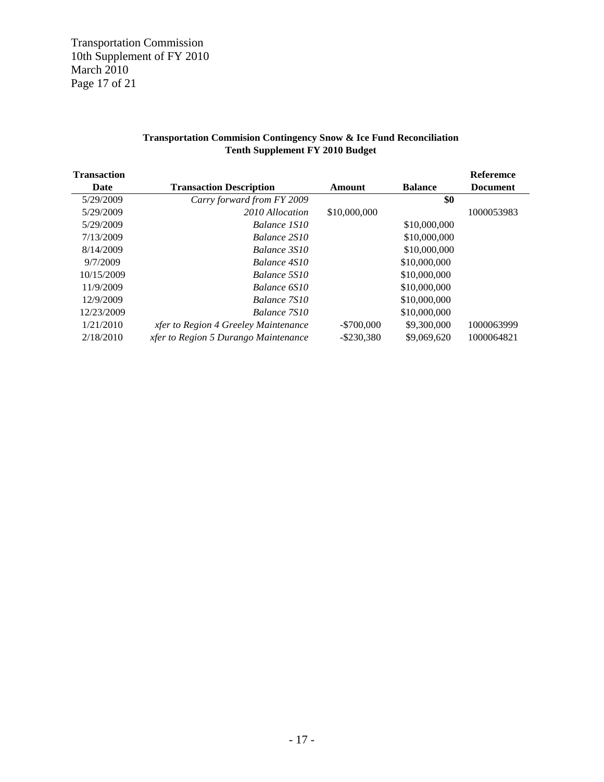Transportation Commission 10th Supplement of FY 2010 March 2010 Page 17 of 21

#### **Transportation Commision Contingency Snow & Ice Fund Reconciliation Tenth Supplement FY 2010 Budget**

| <b>Transaction</b> |                                      |               |                | Referemce       |
|--------------------|--------------------------------------|---------------|----------------|-----------------|
| Date               | <b>Transaction Description</b>       | Amount        | <b>Balance</b> | <b>Document</b> |
| 5/29/2009          | Carry forward from FY 2009           |               | \$0            |                 |
| 5/29/2009          | 2010 Allocation                      | \$10,000,000  |                | 1000053983      |
| 5/29/2009          | Balance 1S10                         |               | \$10,000,000   |                 |
| 7/13/2009          | Balance 2S10                         |               | \$10,000,000   |                 |
| 8/14/2009          | Balance 3S10                         |               | \$10,000,000   |                 |
| 9/7/2009           | Balance 4S10                         |               | \$10,000,000   |                 |
| 10/15/2009         | Balance 5S10                         |               | \$10,000,000   |                 |
| 11/9/2009          | Balance 6S10                         |               | \$10,000,000   |                 |
| 12/9/2009          | Balance 7S10                         |               | \$10,000,000   |                 |
| 12/23/2009         | Balance 7S10                         |               | \$10,000,000   |                 |
| 1/21/2010          | xfer to Region 4 Greeley Maintenance | $-$ \$700,000 | \$9,300,000    | 1000063999      |
| 2/18/2010          | xfer to Region 5 Durango Maintenance | $-$ \$230,380 | \$9,069,620    | 1000064821      |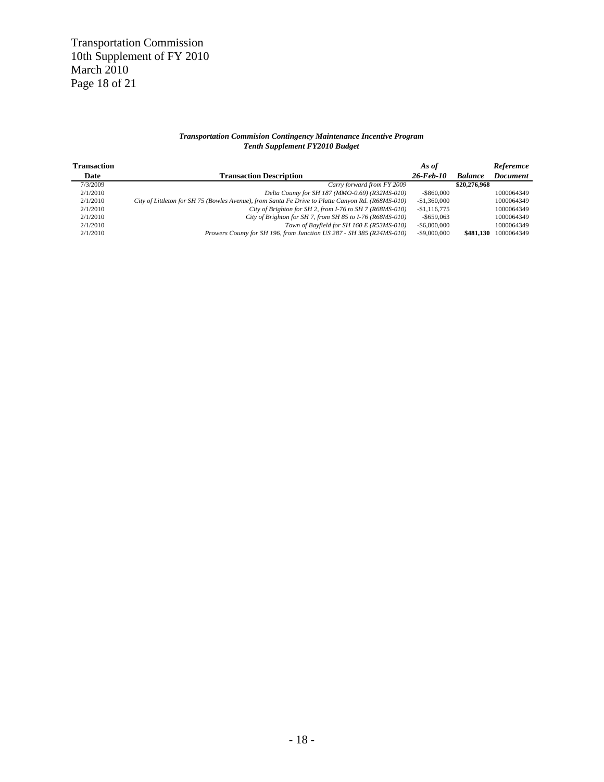#### *Transportation Commision Contingency Maintenance Incentive Program Tenth Supplement FY2010 Budget*

| <b>Transaction</b> |                                                                                                   | As of           |                | Referemce       |
|--------------------|---------------------------------------------------------------------------------------------------|-----------------|----------------|-----------------|
| Date               | <b>Transaction Description</b>                                                                    | $26$ -Feb-10    | <b>Balance</b> | <b>Document</b> |
| 7/3/2009           | Carry forward from FY 2009                                                                        |                 | \$20,276,968   |                 |
| 2/1/2010           | Delta County for SH 187 (MMO-0.69) (R32MS-010)                                                    | $-$ \$860,000   |                | 1000064349      |
| 2/1/2010           | City of Littleton for SH 75 (Bowles Avenue), from Santa Fe Drive to Platte Canyon Rd. (R68MS-010) | $-$1,360,000$   |                | 1000064349      |
| 2/1/2010           | City of Brighton for SH 2, from I-76 to SH 7 (R68MS-010)                                          | $-$1,116,775$   |                | 1000064349      |
| 2/1/2010           | City of Brighton for SH 7, from SH 85 to I-76 (R68MS-010)                                         | $-$ \$659,063   |                | 1000064349      |
| 2/1/2010           | Town of Bayfield for SH 160 E (R53MS-010)                                                         | $-$ \$6,800,000 |                | 1000064349      |
| 2/1/2010           | Prowers County for SH 196, from Junction US 287 - SH 385 (R24MS-010)                              | $-$ \$9,000,000 | \$481.130      | 1000064349      |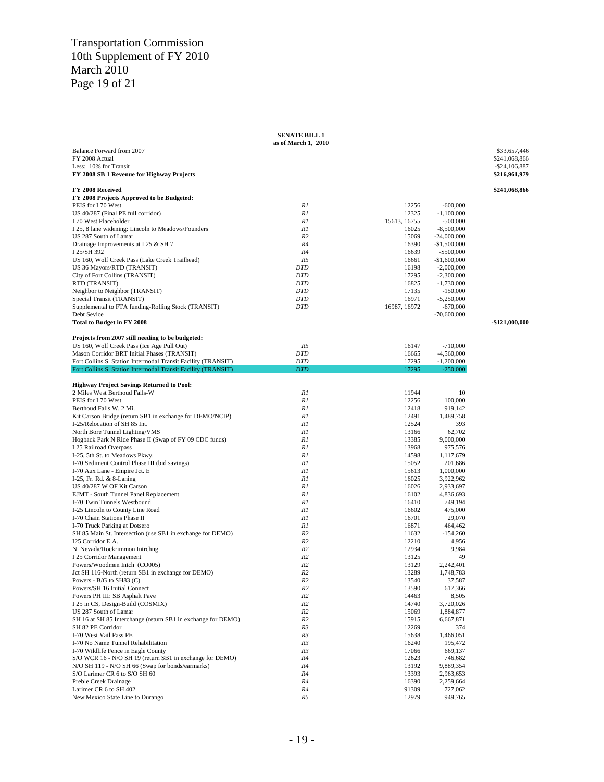#### Transportation Commission 10th Supplement of FY 2010 March 2010 Page 19 of 21

|                                                                                    | <b>SENATE BILL 1</b> |                |                                |                  |
|------------------------------------------------------------------------------------|----------------------|----------------|--------------------------------|------------------|
| Balance Forward from 2007                                                          | as of March 1, 2010  |                |                                | \$33,657,446     |
| FY 2008 Actual                                                                     |                      |                |                                | \$241,068,866    |
| Less: 10% for Transit                                                              |                      |                |                                | $-$ \$24,106,887 |
| FY 2008 SB 1 Revenue for Highway Projects                                          |                      |                |                                | \$216,961,979    |
| FY 2008 Received                                                                   |                      |                |                                | \$241,068,866    |
| FY 2008 Projects Approved to be Budgeted:                                          |                      |                |                                |                  |
| PEIS for I 70 West                                                                 | R1                   | 12256          | $-600,000$                     |                  |
| US 40/287 (Final PE full corridor)                                                 | R1                   | 12325          | $-1,100,000$                   |                  |
| I 70 West Placeholder                                                              | R1                   | 15613, 16755   | $-500,000$                     |                  |
| I 25, 8 lane widening: Lincoln to Meadows/Founders                                 | R1                   | 16025          | $-8,500,000$                   |                  |
| US 287 South of Lamar                                                              | R <sub>2</sub>       | 15069          | $-24,000,000$                  |                  |
| Drainage Improvements at I 25 & SH 7<br>I 25/SH 392                                | R4<br>R4             | 16390<br>16639 | $-$1,500,000$<br>$-$ \$500,000 |                  |
| US 160, Wolf Creek Pass (Lake Creek Trailhead)                                     | R5                   | 16661          | $-$1,600,000$                  |                  |
| US 36 Mayors/RTD (TRANSIT)                                                         | <b>DTD</b>           | 16198          | $-2,000,000$                   |                  |
| City of Fort Collins (TRANSIT)                                                     | DTD                  | 17295          | $-2,300,000$                   |                  |
| RTD (TRANSIT)                                                                      | <b>DTD</b>           | 16825          | $-1,730,000$                   |                  |
| Neighbor to Neighbor (TRANSIT)                                                     | <b>DTD</b>           | 17135          | $-150,000$                     |                  |
| Special Transit (TRANSIT)                                                          | <b>DTD</b>           | 16971          | $-5,250,000$                   |                  |
| Supplemental to FTA funding-Rolling Stock (TRANSIT)                                | <b>DTD</b>           | 16987, 16972   | $-670,000$                     |                  |
| Debt Sevice                                                                        |                      |                | $-70,600,000$                  |                  |
| <b>Total to Budget in FY 2008</b>                                                  |                      |                |                                | -\$121,000,000   |
| Projects from 2007 still needing to be budgeted:                                   |                      |                |                                |                  |
| US 160, Wolf Creek Pass (Ice Age Pull Out)                                         | R5                   | 16147          | $-710,000$                     |                  |
| Mason Corridor BRT Initial Phases (TRANSIT)                                        | <b>DTD</b>           | 16665          | $-4,560,000$                   |                  |
| Fort Collins S. Station Intermodal Transit Facility (TRANSIT)                      | <b>DTD</b>           | 17295          | $-1,200,000$                   |                  |
| Fort Collins S. Station Intermodal Transit Facility (TRANSIT)                      | <b>DTD</b>           | 17295          | $-250,000$                     |                  |
| <b>Highway Project Savings Returned to Pool:</b>                                   |                      |                |                                |                  |
| 2 Miles West Berthoud Falls-W                                                      | R1                   | 11944          | 10                             |                  |
| PEIS for I 70 West                                                                 | R1                   | 12256          | 100,000                        |                  |
| Berthoud Falls W. 2 Mi.                                                            | R1                   | 12418          | 919,142                        |                  |
| Kit Carson Bridge (return SB1 in exchange for DEMO/NCIP)                           | R1                   | 12491          | 1,489,758                      |                  |
| I-25/Relocation of SH 85 Int.                                                      | R1                   | 12524          | 393                            |                  |
| North Bore Tunnel Lighting/VMS                                                     | R1<br>R1             | 13166          | 62,702                         |                  |
| Hogback Park N Ride Phase II (Swap of FY 09 CDC funds)                             | R1                   | 13385<br>13968 | 9,000,000<br>975,576           |                  |
| I 25 Railroad Overpass<br>I-25, 5th St. to Meadows Pkwy.                           | R1                   | 14598          | 1,117,679                      |                  |
| I-70 Sediment Control Phase III (bid savings)                                      | R1                   | 15052          | 201,686                        |                  |
| I-70 Aux Lane - Empire Jct. E                                                      | R1                   | 15613          | 1,000,000                      |                  |
| I-25, Fr. Rd. & 8-Laning                                                           | R1                   | 16025          | 3,922,962                      |                  |
| US 40/287 W OF Kit Carson                                                          | R1                   | 16026          | 2,933,697                      |                  |
| EJMT - South Tunnel Panel Replacement                                              | R1                   | 16102          | 4,836,693                      |                  |
| I-70 Twin Tunnels Westbound                                                        | R1                   | 16410          | 749,194                        |                  |
| I-25 Lincoln to County Line Road                                                   | R1                   | 16602          | 475,000                        |                  |
| I-70 Chain Stations Phase II                                                       | R1                   | 16701          | 29,070                         |                  |
| I-70 Truck Parking at Dotsero                                                      | R1                   | 16871          | 464,462                        |                  |
| SH 85 Main St. Intersection (use SB1 in exchange for DEMO)                         | R <sub>2</sub>       | 11632          | $-154,260$                     |                  |
| I25 Corridor E.A.                                                                  | R2                   | 12210          | 4,956                          |                  |
| N. Nevada/Rockrimmon Intrchng                                                      | R <sub>2</sub>       | 12934          | 9,984                          |                  |
| I 25 Corridor Management                                                           | R2                   | 13125          | 49                             |                  |
| Powers/Woodmen Intch (CO005)                                                       | R2                   | 13129          | 2,242,401                      |                  |
| Jct SH 116-North (return SB1 in exchange for DEMO)<br>Powers - $B/G$ to $SH83$ (C) | R2<br>R <sub>2</sub> | 13289<br>13540 | 1,748,783<br>37,587            |                  |
| Powers/SH 16 Initial Connect                                                       | R2                   | 13590          | 617,366                        |                  |
| Powers PH III: SB Asphalt Pave                                                     | R2                   | 14463          | 8,505                          |                  |
| I 25 in CS, Design-Build (COSMIX)                                                  | R <sub>2</sub>       | 14740          | 3,720,026                      |                  |
| US 287 South of Lamar                                                              | R2                   | 15069          | 1,884,877                      |                  |
| SH 16 at SH 85 Interchange (return SB1 in exchange for DEMO)                       | R2                   | 15915          | 6,667,871                      |                  |
| SH 82 PE Corridor                                                                  | R3                   | 12269          | 374                            |                  |
| I-70 West Vail Pass PE                                                             | R3                   | 15638          | 1,466,051                      |                  |
| I-70 No Name Tunnel Rehabilitation                                                 | R3                   | 16240          | 195,472                        |                  |
| I-70 Wildlife Fence in Eagle County                                                | R3                   | 17066          | 669,137                        |                  |
| S/O WCR 16 - N/O SH 19 (return SB1 in exchange for DEMO)                           | R4                   | 12623          | 746,682                        |                  |
| N/O SH 119 - N/O SH 66 (Swap for bonds/earmarks)                                   | R4                   | 13192          | 9,889,354                      |                  |
| S/O Larimer CR 6 to S/O SH 60                                                      | R4                   | 13393          | 2,963,653                      |                  |
| Preble Creek Drainage                                                              | R4                   | 16390          | 2,259,664                      |                  |
| Larimer CR 6 to SH 402<br>New Mexico State Line to Durango                         | R4<br>R5             | 91309<br>12979 | 727,062<br>949,765             |                  |
|                                                                                    |                      |                |                                |                  |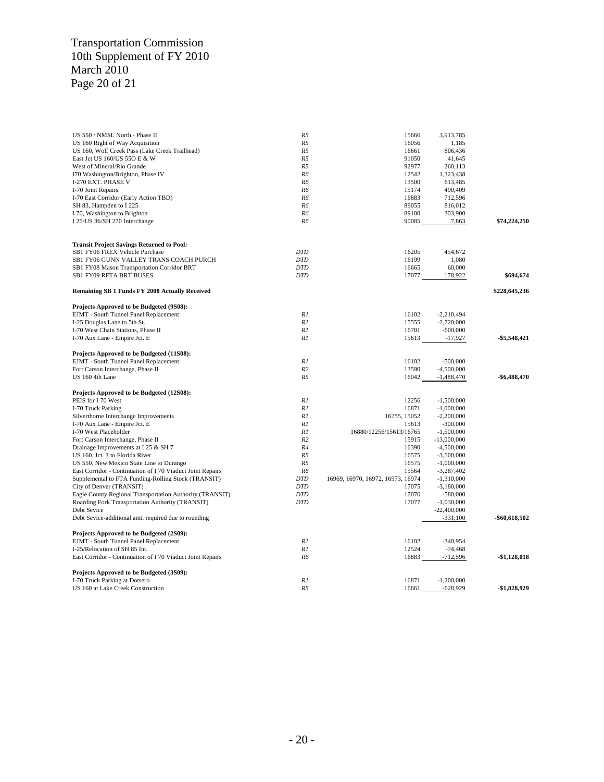#### Transportation Commission 10th Supplement of FY 2010 March 2010 Page 20 of 21

| US 550 / NMSL North - Phase II                             | R <sub>5</sub> | 15666                             | 3,913,785     |                 |
|------------------------------------------------------------|----------------|-----------------------------------|---------------|-----------------|
| US 160 Right of Way Acquisition                            | R <sub>5</sub> | 16056                             | 1,185         |                 |
| US 160, Wolf Creek Pass (Lake Creek Trailhead)             | R <sub>5</sub> | 16661                             | 806,436       |                 |
| East Jct US 160/US 550 E & W                               | R <sub>5</sub> | 91050                             | 41,645        |                 |
| West of Mineral/Rio Grande                                 | R <sub>5</sub> | 92977                             | 260,113       |                 |
| I70 Washington/Brighton, Phase IV                          | R6             | 12542                             | 1,323,438     |                 |
| I-270 EXT. PHASE V                                         | R6             | 13500                             | 613,485       |                 |
| I-70 Joint Repairs                                         | R6             | 15174                             | 490,409       |                 |
| I-70 East Corridor (Early Action TBD)                      | R6             | 16883                             | 712,596       |                 |
| SH 83, Hampden to I 225                                    | R <sub>6</sub> | 89055                             | 816,012       |                 |
| I 70, Washington to Brighton                               | R6             | 89100                             | 303,900       |                 |
| I 25/US 36/SH 270 Interchange                              | R6             | 90085                             | 7,863         | \$74,224,250    |
|                                                            |                |                                   |               |                 |
| <b>Transit Project Savings Returned to Pool:</b>           |                |                                   |               |                 |
| SB1 FY06 FREX Vehicle Purchase                             | <b>DTD</b>     | 16205                             | 454,672       |                 |
| SB1 FY06 GUNN VALLEY TRANS COACH PURCH                     | <b>DTD</b>     | 16199                             | 1,080         |                 |
| SB1 FY08 Mason Transportation Corridor BRT                 | <b>DTD</b>     | 16665                             | 60,000        |                 |
| SB1 FY09 RFTA BRT BUSES                                    | <b>DTD</b>     | 17077                             | 178,922       | \$694,674       |
| Remaining SB 1 Funds FY 2008 Actually Received             |                |                                   |               | \$228,645,236   |
|                                                            |                |                                   |               |                 |
| Projects Approved to be Budgeted (9S08):                   |                |                                   |               |                 |
| EJMT - South Tunnel Panel Replacement                      | R1             | 16102                             | $-2,210,494$  |                 |
| I-25 Douglas Lane to 5th St.                               | R1             | 15555                             | $-2,720,000$  |                 |
| I-70 West Chain Stations, Phase II                         | R1             | 16701                             | $-600,000$    |                 |
| I-70 Aux Lane - Empire Jct. E                              | R1             | 15613                             | $-17,927$     | \$5,548,421     |
| Projects Approved to be Budgeted (11S08):                  |                |                                   |               |                 |
| EJMT - South Tunnel Panel Replacement                      | R1             | 16102                             | $-500,000$    |                 |
| Fort Carson Interchange, Phase II                          | R <sub>2</sub> | 13590                             | $-4,500,000$  |                 |
| US 160 4th Lane                                            | R <sub>5</sub> | 16042                             | $-1,488,470$  | $-$ \$6,488,470 |
| Projects Approved to be Budgeted (12S08):                  |                |                                   |               |                 |
| PEIS for I 70 West                                         | R1             | 12256                             | $-1,500,000$  |                 |
| I-70 Truck Parking                                         | R1             | 16871                             | $-1,000,000$  |                 |
| Silverthorne Interchange Improvements                      | R1             | 16755, 15052                      | $-2,200,000$  |                 |
| I-70 Aux Lane - Empire Jct. E                              | R1             | 15613                             | $-300,000$    |                 |
| I-70 West Placeholder                                      | R1             | 16880/12256/15613/16765           | $-1,500,000$  |                 |
| Fort Carson Interchange, Phase II                          | R <sub>2</sub> | 15915                             | $-13,000,000$ |                 |
| Drainage Improvements at I 25 & SH 7                       | R4             | 16390                             | $-4,500,000$  |                 |
| US 160, Jct. 3 to Florida River                            | R <sub>5</sub> | 16575                             | $-3,500,000$  |                 |
| US 550, New Mexico State Line to Durango                   | R <sub>5</sub> | 16575                             | $-1,000,000$  |                 |
| East Corridor - Continuation of I 70 Viaduct Joint Repairs | R6             | 15564                             | $-3,287,402$  |                 |
| Supplemental to FTA Funding-Rolling Stock (TRANSIT)        | <b>DTD</b>     | 16969, 16970, 16972, 16973, 16974 | $-1,310,000$  |                 |
| City of Denver (TRANSIT)                                   | <b>DTD</b>     | 17075                             | $-3,180,000$  |                 |
| Eagle County Regional Transportation Authority (TRANSIT)   | <b>DTD</b>     | 17076                             | $-580,000$    |                 |
| Roarding Fork Transportation Authority (TRANSIT)           | <b>DTD</b>     | 17077                             | $-1,030,000$  |                 |
| Debt Sevice                                                |                |                                   | $-22,400,000$ |                 |
| Debt Sevice-additional amt. required due to rounding       |                |                                   | $-331,100$    | -\$60,618,502   |
| Projects Approved to be Budgeted (2S09):                   |                |                                   |               |                 |
| EJMT - South Tunnel Panel Replacement                      | R1             | 16102                             | $-340,954$    |                 |
| I-25/Relocation of SH 85 Int.                              | R1             | 12524                             | $-74,468$     |                 |
| East Corridor - Continuation of I 70 Viaduct Joint Repairs | R6             | 16883                             | $-712,596$    | \$1,128,018     |
|                                                            |                |                                   |               |                 |
| Projects Approved to be Budgeted (3S09):                   |                |                                   |               |                 |
| I-70 Truck Parking at Dotsero                              | R1             | 16871                             | $-1,200,000$  |                 |
| US 160 at Lake Creek Construction                          | R <sub>5</sub> | 16661                             | $-628,929$    | \$1,828,929     |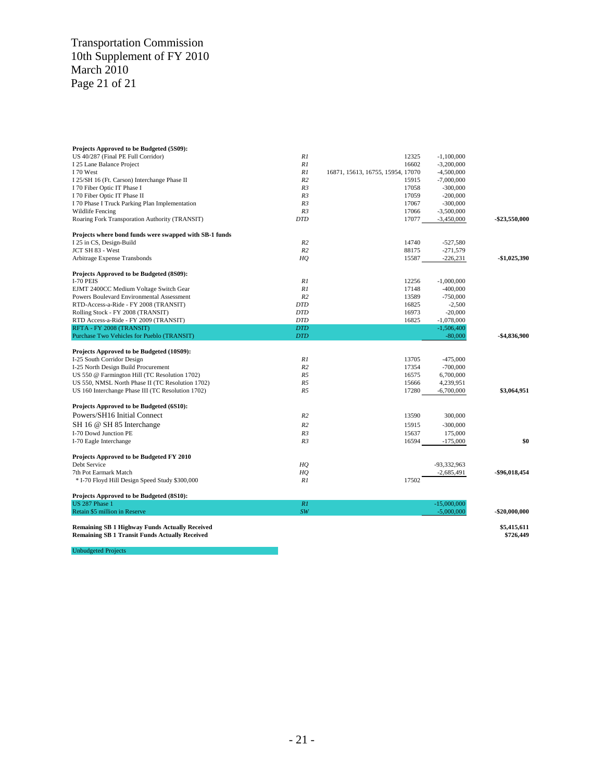#### Transportation Commission 10th Supplement of FY 2010 March 2010 Page 21 of 21

| Projects Approved to be Budgeted (5S09):                                                                       |                |                                   |               |                          |
|----------------------------------------------------------------------------------------------------------------|----------------|-----------------------------------|---------------|--------------------------|
| US 40/287 (Final PE Full Corridor)                                                                             | R1             | 12325                             | $-1,100,000$  |                          |
| I 25 Lane Balance Project                                                                                      | R1             | 16602                             | $-3,200,000$  |                          |
| I 70 West                                                                                                      | R1             | 16871, 15613, 16755, 15954, 17070 | $-4,500,000$  |                          |
| I 25/SH 16 (Ft. Carson) Interchange Phase II                                                                   | R <sub>2</sub> | 15915                             | $-7,000,000$  |                          |
| I 70 Fiber Optic IT Phase I                                                                                    | R3             | 17058                             | $-300,000$    |                          |
| I 70 Fiber Optic IT Phase II                                                                                   | R3             | 17059                             | $-200,000$    |                          |
| I 70 Phase I Truck Parking Plan Implementation                                                                 | R <sub>3</sub> | 17067                             | $-300,000$    |                          |
| Wildlife Fencing                                                                                               | R <sub>3</sub> | 17066                             | $-3,500,000$  |                          |
| Roaring Fork Transporation Authority (TRANSIT)                                                                 | <b>DTD</b>     | 17077                             | $-3,450,000$  | -\$23,550,000            |
| Projects where bond funds were swapped with SB-1 funds                                                         |                |                                   |               |                          |
| I 25 in CS, Design-Build                                                                                       | R <sub>2</sub> | 14740                             | $-527,580$    |                          |
| JCT SH 83 - West                                                                                               | R <sub>2</sub> | 88175                             | $-271,579$    |                          |
| Arbitrage Expense Transbonds                                                                                   | HO             | 15587                             | $-226,231$    | \$1,025,390              |
| Projects Approved to be Budgeted (8S09):                                                                       |                |                                   |               |                          |
| I-70 PEIS                                                                                                      | R1             | 12256                             | $-1,000,000$  |                          |
| EJMT 2400CC Medium Voltage Switch Gear                                                                         | R1             | 17148                             | $-400,000$    |                          |
| Powers Boulevard Environmental Assessment                                                                      | R <sub>2</sub> | 13589                             | $-750,000$    |                          |
| RTD-Access-a-Ride - FY 2008 (TRANSIT)                                                                          | <b>DTD</b>     | 16825                             | $-2,500$      |                          |
| Rolling Stock - FY 2008 (TRANSIT)                                                                              | <b>DTD</b>     | 16973                             | $-20,000$     |                          |
| RTD Access-a-Ride - FY 2009 (TRANSIT)                                                                          | <b>DTD</b>     | 16825                             | $-1,078,000$  |                          |
| RFTA - FY 2008 (TRANSIT)                                                                                       | <b>DTD</b>     |                                   | $-1,506,400$  |                          |
| Purchase Two Vehicles for Pueblo (TRANSIT)                                                                     | <b>DTD</b>     |                                   | $-80,000$     | -\$4,836,900             |
|                                                                                                                |                |                                   |               |                          |
| Projects Approved to be Budgeted (10S09):                                                                      |                |                                   |               |                          |
| I-25 South Corridor Design                                                                                     | R1             | 13705                             | $-475,000$    |                          |
| I-25 North Design Build Procurement                                                                            | R <sub>2</sub> | 17354                             | $-700,000$    |                          |
| US 550 @ Farmington Hill (TC Resolution 1702)                                                                  | R <sub>5</sub> | 16575                             | 6,700,000     |                          |
| US 550, NMSL North Phase II (TC Resolution 1702)                                                               | R <sub>5</sub> | 15666                             | 4,239,951     |                          |
| US 160 Interchange Phase III (TC Resolution 1702)                                                              | R <sub>5</sub> | 17280                             | $-6,700,000$  | \$3,064,951              |
| Projects Approved to be Budgeted (6S10):                                                                       |                |                                   |               |                          |
| Powers/SH16 Initial Connect                                                                                    | R <sub>2</sub> | 13590                             | 300,000       |                          |
| SH 16 @ SH 85 Interchange                                                                                      | R <sub>2</sub> | 15915                             | $-300,000$    |                          |
| I-70 Dowd Junction PE                                                                                          | R3             | 15637                             | 175,000       |                          |
| I-70 Eagle Interchange                                                                                         | R <sub>3</sub> | 16594                             | $-175,000$    | \$0                      |
|                                                                                                                |                |                                   |               |                          |
| Projects Approved to be Budgeted FY 2010<br>Debt Service                                                       |                |                                   |               |                          |
|                                                                                                                | HQ             |                                   | -93,332,963   | -\$96,018,454            |
| 7th Pot Earmark Match                                                                                          | HQ<br>R1       | 17502                             | $-2,685,491$  |                          |
| * I-70 Floyd Hill Design Speed Study \$300,000                                                                 |                |                                   |               |                          |
| Projects Approved to be Budgeted (8S10):                                                                       |                |                                   |               |                          |
| <b>US 287 Phase 1</b>                                                                                          | R1             |                                   | $-15,000,000$ |                          |
| Retain \$5 million in Reserve                                                                                  | SW             |                                   | $-5,000,000$  | $-$20,000,000$           |
| <b>Remaining SB 1 Highway Funds Actually Received</b><br><b>Remaining SB 1 Transit Funds Actually Received</b> |                |                                   |               | \$5,415,611<br>\$726,449 |

Unbudgeted Projects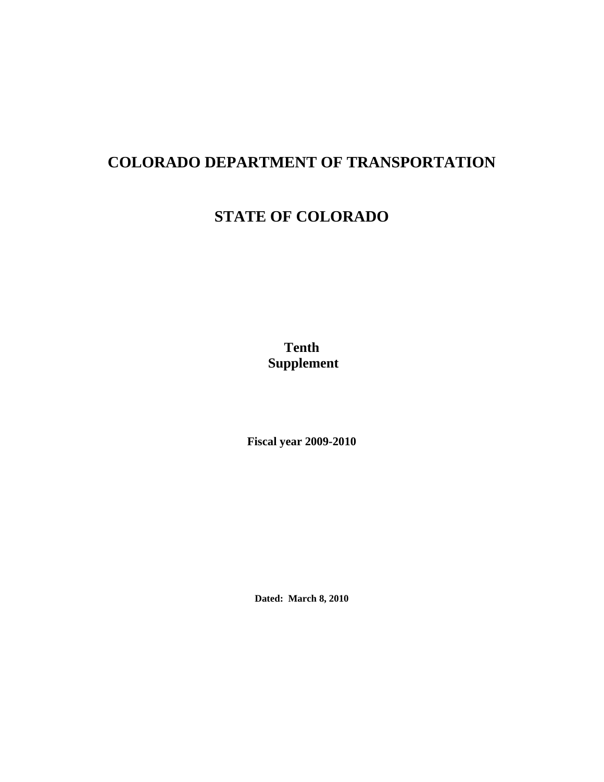# **COLORADO DEPARTMENT OF TRANSPORTATION**

# **STATE OF COLORADO**

**Tenth Supplement** 

**Fiscal year 2009-2010**

**Dated: March 8, 2010**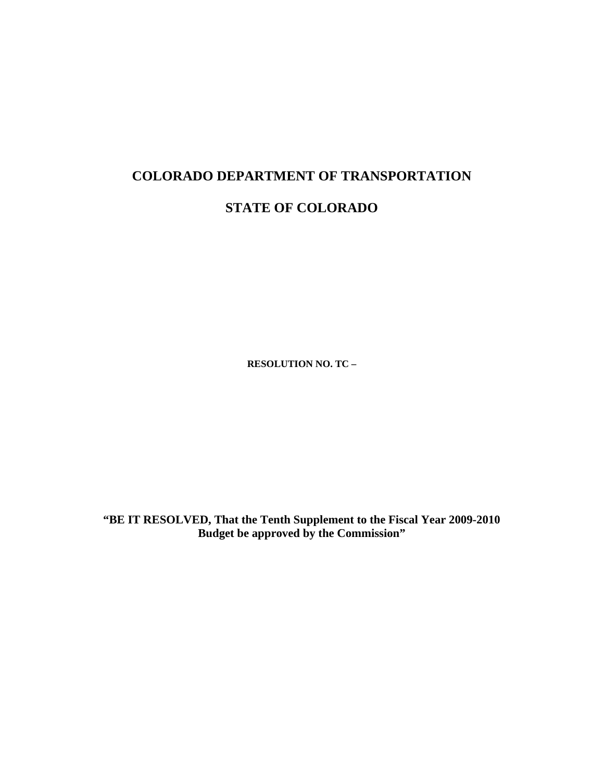# **COLORADO DEPARTMENT OF TRANSPORTATION**

# **STATE OF COLORADO**

**RESOLUTION NO. TC –** 

**"BE IT RESOLVED, That the Tenth Supplement to the Fiscal Year 2009-2010 Budget be approved by the Commission"**